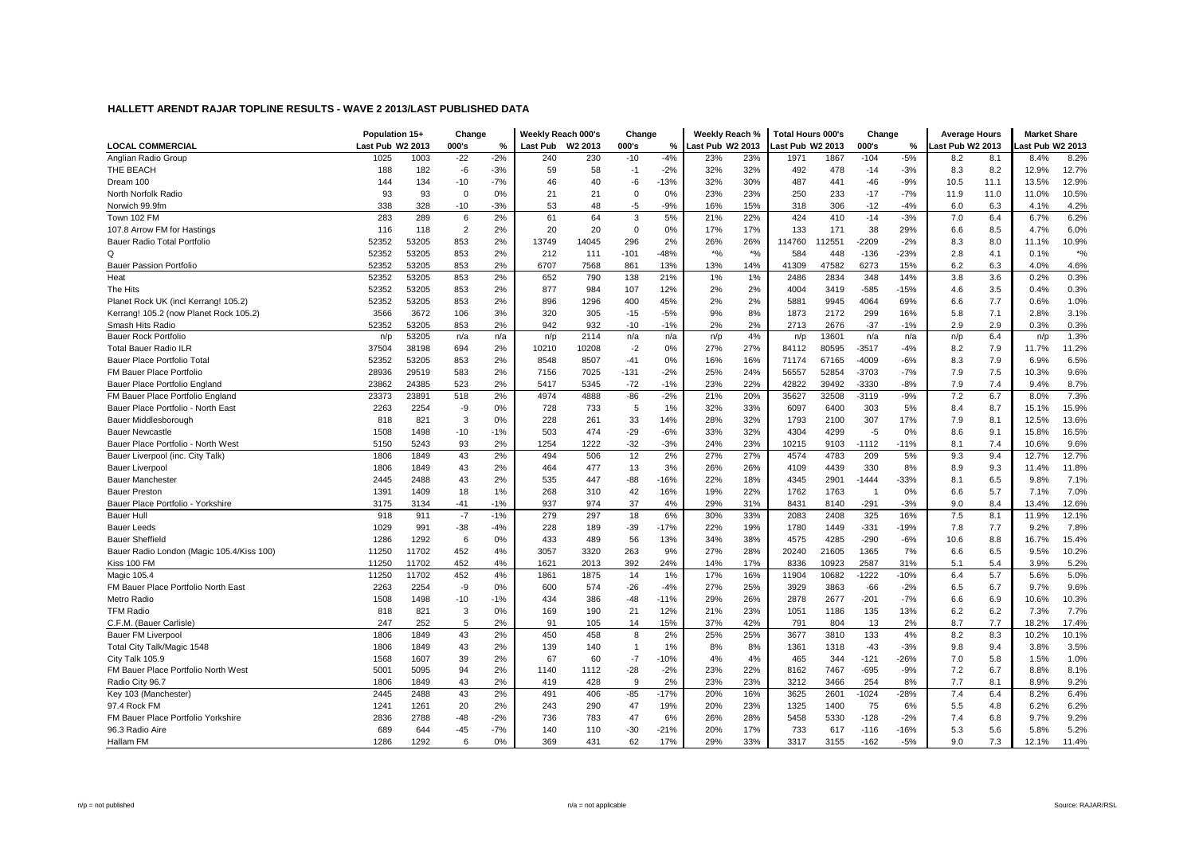|                                           | Population 15+   |       | Change         |       | Weekly Reach 000's |         | Change         |        | Weekly Reach %   |       | <b>Total Hours 000's</b> |       | Change  |        | <b>Average Hours</b> |      | <b>Market Share</b> |       |
|-------------------------------------------|------------------|-------|----------------|-------|--------------------|---------|----------------|--------|------------------|-------|--------------------------|-------|---------|--------|----------------------|------|---------------------|-------|
| <b>LOCAL COMMERCIAL</b>                   | Last Pub W2 2013 |       | 000's          | %     | <b>Last Pub</b>    | W2 2013 | 000's          | %      | Last Pub W2 2013 |       | Last Pub W2 2013         |       | 000's   | %      | ast Pub W2 2013      |      | ast Pub W2 2013     |       |
| Anglian Radio Group                       | 1025             | 1003  | $-22$          | $-2%$ | 240                | 230     | $-10$          | $-4%$  | 23%              | 23%   | 1971                     | 1867  | $-104$  | $-5%$  | 8.2                  | 8.1  | 8.4%                | 8.2%  |
| THE BEACH                                 | 188              | 182   | -6             | $-3%$ | 59                 | 58      | $-1$           | $-2%$  | 32%              | 32%   | 492                      | 478   | $-14$   | $-3%$  | 8.3                  | 8.2  | 12.9%               | 12.7% |
| Dream 100                                 | 144              | 134   | $-10$          | $-7%$ | 46                 | 40      | -6             | $-13%$ | 32%              | 30%   | 487                      | 441   | $-46$   | $-9%$  | 10.5                 | 11.1 | 13.5%               | 12.9% |
| North Norfolk Radio                       | 93               | 93    | 0              | 0%    | 21                 | 21      | 0              | 0%     | 23%              | 23%   | 250                      | 233   | $-17$   | $-7%$  | 11.9                 | 11.0 | 11.0%               | 10.5% |
| Norwich 99.9fm                            | 338              | 328   | $-10$          | $-3%$ | 53                 | 48      | -5             | $-9%$  | 16%              | 15%   | 318                      | 306   | $-12$   | $-4%$  | 6.0                  | 6.3  | 4.1%                | 4.2%  |
| Town 102 FM                               | 283              | 289   | 6              | 2%    | 61                 | 64      | 3              | 5%     | 21%              | 22%   | 424                      | 410   | $-14$   | $-3%$  | 7.0                  | 6.4  | 6.7%                | 6.2%  |
| 107.8 Arrow FM for Hastings               | 116              | 118   | $\overline{2}$ | 2%    | 20                 | 20      | $\Omega$       | 0%     | 17%              | 17%   | 133                      | 171   | 38      | 29%    | 6.6                  | 8.5  | 4.7%                | 6.0%  |
| Bauer Radio Total Portfolio               | 52352            | 53205 | 853            | 2%    | 13749              | 14045   | 296            | 2%     | 26%              | 26%   | 114760                   | 12551 | $-2209$ | $-2%$  | 8.3                  | 8.0  | 11.1%               | 10.9% |
| Q                                         | 52352            | 53205 | 853            | 2%    | 212                | 111     | $-101$         | $-48%$ | $*$ %            | $*$ % | 584                      | 448   | $-136$  | $-23%$ | 2.8                  | 4.1  | 0.1%                | $*$ % |
| <b>Bauer Passion Portfolio</b>            | 52352            | 53205 | 853            | 2%    | 6707               | 7568    | 861            | 13%    | 13%              | 14%   | 41309                    | 47582 | 6273    | 15%    | 6.2                  | 6.3  | 4.0%                | 4.6%  |
| Heat                                      | 52352            | 53205 | 853            | 2%    | 652                | 790     | 138            | 21%    | 1%               | 1%    | 2486                     | 2834  | 348     | 14%    | 3.8                  | 3.6  | 0.2%                | 0.3%  |
| The Hits                                  | 52352            | 53205 | 853            | 2%    | 877                | 984     | 107            | 12%    | 2%               | 2%    | 4004                     | 3419  | $-585$  | $-15%$ | 4.6                  | 3.5  | 0.4%                | 0.3%  |
| Planet Rock UK (incl Kerrang! 105.2)      | 52352            | 53205 | 853            | 2%    | 896                | 1296    | 400            | 45%    | 2%               | 2%    | 5881                     | 9945  | 4064    | 69%    | 6.6                  | 7.7  | 0.6%                | 1.0%  |
| Kerrang! 105.2 (now Planet Rock 105.2)    | 3566             | 3672  | 106            | 3%    | 320                | 305     | $-15$          | $-5%$  | 9%               | 8%    | 1873                     | 2172  | 299     | 16%    | 5.8                  | 7.1  | 2.8%                | 3.1%  |
| Smash Hits Radio                          | 52352            | 53205 | 853            | 2%    | 942                | 932     | $-10$          | $-1%$  | 2%               | 2%    | 2713                     | 2676  | $-37$   | $-1%$  | 2.9                  | 2.9  | 0.3%                | 0.3%  |
| <b>Bauer Rock Portfolio</b>               | n/p              | 53205 | n/a            | n/a   | n/p                | 2114    | n/a            | n/a    | n/p              | 4%    | n/p                      | 13601 | n/a     | n/a    | n/p                  | 6.4  | n/p                 | 1.3%  |
| <b>Total Bauer Radio ILR</b>              | 37504            | 38198 | 694            | 2%    | 10210              | 10208   | $-2$           | 0%     | 27%              | 27%   | 84112                    | 80595 | $-3517$ | $-4%$  | 8.2                  | 7.9  | 11.7%               | 11.2% |
| Bauer Place Portfolio Total               | 52352            | 53205 | 853            | 2%    | 8548               | 8507    | $-41$          | 0%     | 16%              | 16%   | 71174                    | 67165 | $-4009$ | $-6%$  | 8.3                  | 7.9  | 6.9%                | 6.5%  |
| FM Bauer Place Portfolio                  | 28936            | 29519 | 583            | 2%    | 7156               | 7025    | $-131$         | $-2%$  | 25%              | 24%   | 56557                    | 52854 | $-3703$ | $-7%$  | 7.9                  | 7.5  | 10.3%               | 9.6%  |
| Bauer Place Portfolio England             | 23862            | 24385 | 523            | 2%    | 5417               | 5345    | $-72$          | $-1%$  | 23%              | 22%   | 42822                    | 39492 | -3330   | $-8%$  | 7.9                  | 7.4  | 9.4%                | 8.7%  |
| FM Bauer Place Portfolio England          | 23373            | 23891 | 518            | 2%    | 4974               | 4888    | $-86$          | $-2%$  | 21%              | 20%   | 35627                    | 32508 | $-3119$ | $-9%$  | 7.2                  | 6.7  | 8.0%                | 7.3%  |
| Bauer Place Portfolio - North East        | 2263             | 2254  | -9             | 0%    | 728                | 733     | 5              | 1%     | 32%              | 33%   | 6097                     | 6400  | 303     | 5%     | 8.4                  | 8.7  | 15.1%               | 15.9% |
| Bauer Middlesborough                      | 818              | 821   | 3              | 0%    | 228                | 261     | 33             | 14%    | 28%              | 32%   | 1793                     | 2100  | 307     | 17%    | 7.9                  | 8.1  | 12.5%               | 13.6% |
| <b>Bauer Newcastle</b>                    | 1508             | 1498  | $-10$          | $-1%$ | 503                | 474     | $-29$          | $-6%$  | 33%              | 32%   | 4304                     | 4299  | -5      | 0%     | 8.6                  | 9.1  | 15.8%               | 16.5% |
| Bauer Place Portfolio - North West        | 5150             | 5243  | 93             | 2%    | 1254               | 1222    | $-32$          | $-3%$  | 24%              | 23%   | 10215                    | 9103  | $-1112$ | $-11%$ | 8.1                  | 7.4  | 10.6%               | 9.6%  |
| Bauer Liverpool (inc. City Talk)          | 1806             | 1849  | 43             | 2%    | 494                | 506     | 12             | 2%     | 27%              | 27%   | 4574                     | 4783  | 209     | 5%     | 9.3                  | 9.4  | 12.7%               | 12.7% |
| <b>Bauer Liverpool</b>                    | 1806             | 1849  | 43             | 2%    | 464                | 477     | 13             | 3%     | 26%              | 26%   | 4109                     | 4439  | 330     | 8%     | 8.9                  | 9.3  | 11.4%               | 11.8% |
| <b>Bauer Manchester</b>                   | 2445             | 2488  | 43             | 2%    | 535                | 447     | $-88$          | $-16%$ | 22%              | 18%   | 4345                     | 2901  | $-1444$ | $-33%$ | 8.1                  | 6.5  | 9.8%                | 7.1%  |
| <b>Bauer Preston</b>                      | 1391             | 1409  | 18             | 1%    | 268                | 310     | 42             | 16%    | 19%              | 22%   | 1762                     | 1763  | - 1     | 0%     | 6.6                  | 5.7  | 7.1%                | 7.0%  |
| Bauer Place Portfolio - Yorkshire         | 3175             | 3134  | $-41$          | $-1%$ | 937                | 974     | 37             | 4%     | 29%              | 31%   | 8431                     | 8140  | $-291$  | $-3%$  | 9.0                  | 8.4  | 13.4%               | 12.6% |
| <b>Bauer Hull</b>                         | 918              | 911   | $-7$           | $-1%$ | 279                | 297     | 18             | 6%     | 30%              | 33%   | 2083                     | 2408  | 325     | 16%    | 7.5                  | 8.1  | 11.9%               | 12.1% |
| <b>Bauer Leeds</b>                        | 1029             | 991   | $-38$          | $-4%$ | 228                | 189     | $-39$          | $-17%$ | 22%              | 19%   | 1780                     | 1449  | $-331$  | $-19%$ | 7.8                  | 7.7  | 9.2%                | 7.8%  |
| <b>Bauer Sheffield</b>                    | 1286             | 1292  | 6              | 0%    | 433                | 489     | 56             | 13%    | 34%              | 38%   | 4575                     | 4285  | $-290$  | $-6%$  | 10.6                 | 8.8  | 16.7%               | 15.4% |
| Bauer Radio London (Magic 105.4/Kiss 100) | 11250            | 11702 | 452            | 4%    | 3057               | 3320    | 263            | 9%     | 27%              | 28%   | 20240                    | 21605 | 1365    | 7%     | 6.6                  | 6.5  | 9.5%                | 10.2% |
| Kiss 100 FM                               | 11250            | 11702 | 452            | 4%    | 1621               | 2013    | 392            | 24%    | 14%              | 17%   | 8336                     | 10923 | 2587    | 31%    | 5.1                  | 5.4  | 3.9%                | 5.2%  |
| Magic 105.4                               | 11250            | 11702 | 452            | 4%    | 1861               | 1875    | 14             | 1%     | 17%              | 16%   | 11904                    | 10682 | $-1222$ | $-10%$ | 6.4                  | 5.7  | 5.6%                | 5.0%  |
| FM Bauer Place Portfolio North East       | 2263             | 2254  | -9             | 0%    | 600                | 574     | -26            | $-4%$  | 27%              | 25%   | 3929                     | 3863  | -66     | $-2%$  | 6.5                  | 6.7  | 9.7%                | 9.6%  |
| Metro Radio                               | 1508             | 1498  | $-10$          | $-1%$ | 434                | 386     | $-48$          | $-11%$ | 29%              | 26%   | 2878                     | 2677  | $-201$  | $-7%$  | 6.6                  | 6.9  | 10.6%               | 10.3% |
| <b>TFM Radio</b>                          | 818              | 821   | 3              | 0%    | 169                | 190     | 21             | 12%    | 21%              | 23%   | 1051                     | 1186  | 135     | 13%    | 6.2                  | 6.2  | 7.3%                | 7.7%  |
| C.F.M. (Bauer Carlisle)                   | 247              | 252   | 5              | 2%    | 91                 | 105     | 14             | 15%    | 37%              | 42%   | 791                      | 804   | 13      | 2%     | 8.7                  | 7.7  | 18.2%               | 17.4% |
| Bauer FM Liverpool                        | 1806             | 1849  | 43             | 2%    | 450                | 458     | 8              | 2%     | 25%              | 25%   | 3677                     | 3810  | 133     | 4%     | 8.2                  | 8.3  | 10.2%               | 10.1% |
| Total City Talk/Magic 1548                | 1806             | 1849  | 43             | 2%    | 139                | 140     | $\overline{1}$ | 1%     | 8%               | 8%    | 1361                     | 1318  | $-43$   | $-3%$  | 9.8                  | 9.4  | 3.8%                | 3.5%  |
| City Talk 105.9                           | 1568             | 1607  | 39             | 2%    | 67                 | 60      | $-7$           | $-10%$ | 4%               | 4%    | 465                      | 344   | $-121$  | $-26%$ | 7.0                  | 5.8  | 1.5%                | 1.0%  |
| FM Bauer Place Portfolio North West       | 5001             | 5095  | 94             | 2%    | 1140               | 1112    | $-28$          | $-2%$  | 23%              | 22%   | 8162                     | 7467  | $-695$  | $-9%$  | 7.2                  | 6.7  | 8.8%                | 8.1%  |
| Radio City 96.7                           | 1806             | 1849  | 43             | 2%    | 419                | 428     | 9              | 2%     | 23%              | 23%   | 3212                     | 3466  | 254     | 8%     | 7.7                  | 8.1  | 8.9%                | 9.2%  |
| Key 103 (Manchester)                      | 2445             | 2488  | 43             | 2%    | 491                | 406     | $-85$          | $-17%$ | 20%              | 16%   | 3625                     | 2601  | $-1024$ | $-28%$ | 7.4                  | 6.4  | 8.2%                | 6.4%  |
| 97.4 Rock FM                              | 1241             | 1261  | 20             | 2%    | 243                | 290     | 47             | 19%    | 20%              | 23%   | 1325                     | 1400  | 75      | 6%     | 5.5                  | 4.8  | 6.2%                | 6.2%  |
| FM Bauer Place Portfolio Yorkshire        | 2836             | 2788  | -48            | $-2%$ | 736                | 783     | 47             | 6%     | 26%              | 28%   | 5458                     | 5330  | $-128$  | $-2%$  | 7.4                  | 6.8  | 9.7%                | 9.2%  |
| 96.3 Radio Aire                           | 689              | 644   | $-45$          | $-7%$ | 140                | 110     | $-30$          | $-21%$ | 20%              | 17%   | 733                      | 617   | $-116$  | $-16%$ | 5.3                  | 5.6  | 5.8%                | 5.2%  |
| Hallam FM                                 | 1286             | 1292  | 6              | 0%    | 369                | 431     | 62             | 17%    | 29%              | 33%   | 3317                     | 3155  | $-162$  | $-5%$  | 9.0                  | 7.3  | 12.1%               | 11.4% |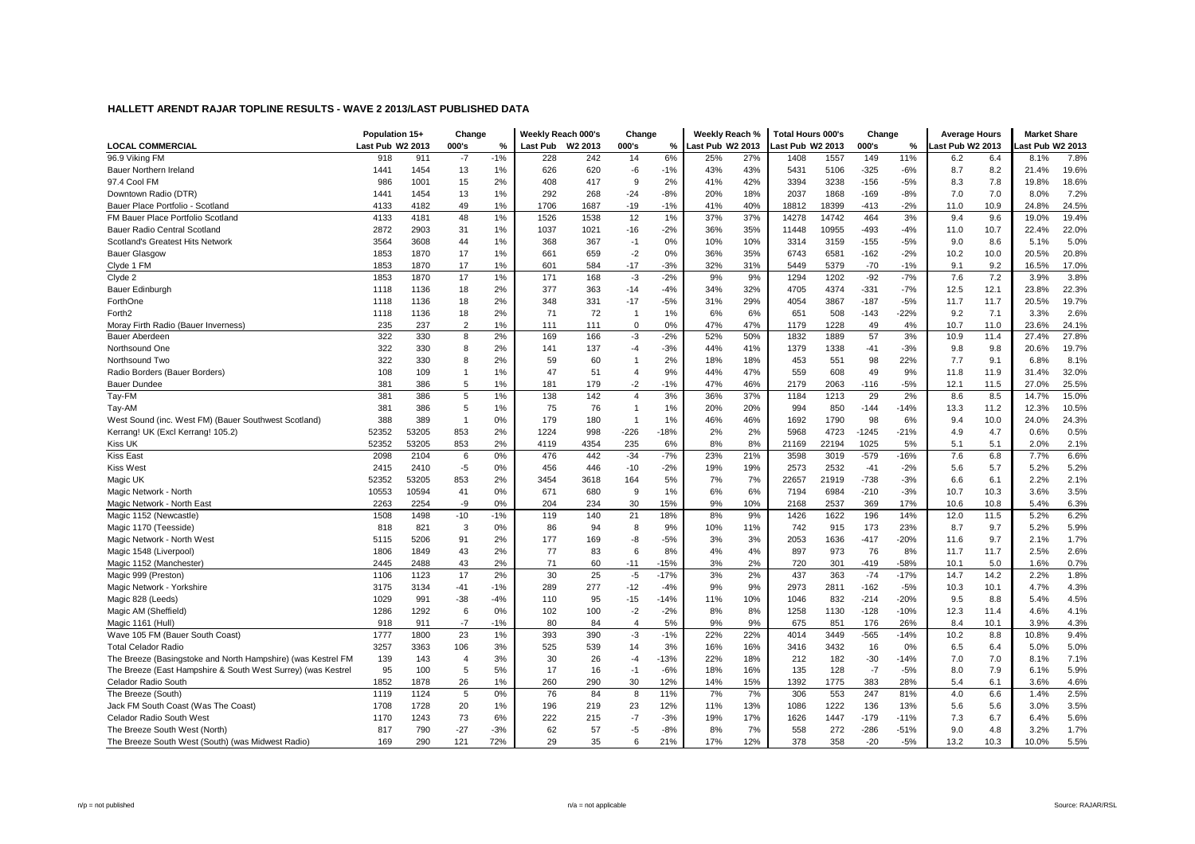|                                                              | Population 15+   |       | Change         |       | Weekly Reach 000's |                     | Change         |        | Weekly Reach %   |     | <b>Total Hours 000's</b> |       | Change  |        | <b>Average Hours</b> |      | <b>Market Share</b> |       |
|--------------------------------------------------------------|------------------|-------|----------------|-------|--------------------|---------------------|----------------|--------|------------------|-----|--------------------------|-------|---------|--------|----------------------|------|---------------------|-------|
| <b>LOCAL COMMERCIAL</b>                                      | Last Pub W2 2013 |       | 000's          | %     | Last Pub           | W <sub>2</sub> 2013 | 000's          | ℅      | Last Pub W2 2013 |     | ast Pub W2 2013          |       | 000's   | %      | ast Pub W2 2013      |      | ast Pub W2 2013     |       |
| 96.9 Viking FM                                               | 918              | 911   | $-7$           | $-1%$ | 228                | 242                 | 14             | 6%     | 25%              | 27% | 1408                     | 1557  | 149     | 11%    | 6.2                  | 6.4  | 8.1%                | 7.8%  |
| Bauer Northern Ireland                                       | 1441             | 1454  | 13             | 1%    | 626                | 620                 | -6             | $-1%$  | 43%              | 43% | 5431                     | 5106  | $-325$  | $-6%$  | 8.7                  | 8.2  | 21.4%               | 19.6% |
| 97.4 Cool FM                                                 | 986              | 1001  | 15             | 2%    | 408                | 417                 | 9              | 2%     | 41%              | 42% | 3394                     | 3238  | $-156$  | $-5%$  | 8.3                  | 7.8  | 19.8%               | 18.6% |
| Downtown Radio (DTR)                                         | 1441             | 1454  | 13             | 1%    | 292                | 268                 | $-24$          | $-8%$  | 20%              | 18% | 2037                     | 1868  | $-169$  | $-8%$  | 7.0                  | 7.0  | 8.0%                | 7.2%  |
| Bauer Place Portfolio - Scotland                             | 4133             | 4182  | 49             | 1%    | 1706               | 1687                | $-19$          | $-1%$  | 41%              | 40% | 18812                    | 18399 | $-413$  | $-2%$  | 11.0                 | 10.9 | 24.8%               | 24.5% |
| FM Bauer Place Portfolio Scotland                            | 4133             | 4181  | 48             | 1%    | 1526               | 1538                | 12             | 1%     | 37%              | 37% | 14278                    | 14742 | 464     | 3%     | 9.4                  | 9.6  | 19.0%               | 19.4% |
| Bauer Radio Central Scotland                                 | 2872             | 2903  | 31             | 1%    | 1037               | 1021                | $-16$          | $-2%$  | 36%              | 35% | 11448                    | 10955 | $-493$  | $-4%$  | 11.0                 | 10.7 | 22.4%               | 22.0% |
| Scotland's Greatest Hits Network                             | 3564             | 3608  | 44             | 1%    | 368                | 367                 | $-1$           | 0%     | 10%              | 10% | 3314                     | 3159  | $-155$  | $-5%$  | 9.0                  | 8.6  | 5.1%                | 5.0%  |
| <b>Bauer Glasgow</b>                                         | 1853             | 1870  | 17             | 1%    | 661                | 659                 | $-2$           | 0%     | 36%              | 35% | 6743                     | 6581  | $-162$  | $-2%$  | 10.2                 | 10.0 | 20.5%               | 20.8% |
| Clyde 1 FM                                                   | 1853             | 1870  | 17             | 1%    | 601                | 584                 | $-17$          | $-3%$  | 32%              | 31% | 5449                     | 5379  | $-70$   | $-1%$  | 9.1                  | 9.2  | 16.5%               | 17.0% |
| Clyde 2                                                      | 1853             | 1870  | 17             | 1%    | 171                | 168                 | $-3$           | $-2%$  | 9%               | 9%  | 1294                     | 1202  | $-92$   | $-7%$  | 7.6                  | 7.2  | 3.9%                | 3.8%  |
| Bauer Edinburgh                                              | 1118             | 1136  | 18             | 2%    | 377                | 363                 | $-14$          | $-4%$  | 34%              | 32% | 4705                     | 4374  | $-331$  | $-7%$  | 12.5                 | 12.1 | 23.8%               | 22.3% |
| ForthOne                                                     | 1118             | 1136  | 18             | 2%    | 348                | 331                 | $-17$          | $-5%$  | 31%              | 29% | 4054                     | 3867  | $-187$  | $-5%$  | 11.7                 | 11.7 | 20.5%               | 19.7% |
| Forth <sub>2</sub>                                           | 1118             | 1136  | 18             | 2%    | 71                 | 72                  | $\overline{1}$ | 1%     | 6%               | 6%  | 651                      | 508   | $-143$  | $-22%$ | 9.2                  | 7.1  | 3.3%                | 2.6%  |
| Moray Firth Radio (Bauer Inverness)                          | 235              | 237   | $\overline{2}$ | 1%    | 111                | 111                 | $\Omega$       | 0%     | 47%              | 47% | 1179                     | 1228  | 49      | 4%     | 10.7                 | 11.0 | 23.6%               | 24.1% |
| <b>Bauer Aberdeen</b>                                        | 322              | 330   | 8              | 2%    | 169                | 166                 | $-3$           | $-2%$  | 52%              | 50% | 1832                     | 1889  | 57      | 3%     | 10.9                 | 11.4 | 27.4%               | 27.8% |
| Northsound One                                               | 322              | 330   | 8              | 2%    | 141                | 137                 | $-4$           | $-3%$  | 44%              | 41% | 1379                     | 1338  | $-41$   | $-3%$  | 9.8                  | 9.8  | 20.6%               | 19.7% |
| Northsound Two                                               | 322              | 330   | 8              | 2%    | 59                 | 60                  | $\mathbf{1}$   | 2%     | 18%              | 18% | 453                      | 551   | 98      | 22%    | 7.7                  | 9.1  | 6.8%                | 8.1%  |
| Radio Borders (Bauer Borders)                                | 108              | 109   | $\overline{1}$ | 1%    | 47                 | 51                  | $\overline{4}$ | 9%     | 44%              | 47% | 559                      | 608   | 49      | 9%     | 11.8                 | 11.9 | 31.4%               | 32.0% |
| <b>Bauer Dundee</b>                                          | 381              | 386   | 5              | 1%    | 181                | 179                 | $-2$           | $-1%$  | 47%              | 46% | 2179                     | 2063  | $-116$  | $-5%$  | 12.1                 | 11.5 | 27.0%               | 25.5% |
| Tay-FM                                                       | 381              | 386   | 5              | 1%    | 138                | 142                 | $\overline{4}$ | 3%     | 36%              | 37% | 1184                     | 1213  | 29      | 2%     | 8.6                  | 8.5  | 14.7%               | 15.0% |
| Tay-AM                                                       | 381              | 386   | 5              | 1%    | 75                 | 76                  | $\overline{1}$ | 1%     | 20%              | 20% | 994                      | 850   | $-144$  | $-14%$ | 13.3                 | 11.2 | 12.3%               | 10.5% |
| West Sound (inc. West FM) (Bauer Southwest Scotland)         | 388              | 389   |                | 0%    | 179                | 180                 | $\overline{1}$ | 1%     | 46%              | 46% | 1692                     | 1790  | 98      | 6%     | 9.4                  | 10.0 | 24.0%               | 24.3% |
| Kerrang! UK (Excl Kerrang! 105.2)                            | 52352            | 53205 | 853            | 2%    | 1224               | 998                 | $-226$         | $-18%$ | 2%               | 2%  | 5968                     | 4723  | $-1245$ | $-21%$ | 4.9                  | 4.7  | 0.6%                | 0.5%  |
| Kiss UK                                                      | 52352            | 53205 | 853            | 2%    | 4119               | 4354                | 235            | 6%     | 8%               | 8%  | 21169                    | 22194 | 1025    | 5%     | 5.1                  | 5.1  | 2.0%                | 2.1%  |
| Kiss East                                                    | 2098             | 2104  | 6              | 0%    | 476                | 442                 | $-34$          | $-7%$  | 23%              | 21% | 3598                     | 3019  | $-579$  | $-16%$ | 7.6                  | 6.8  | 7.7%                | 6.6%  |
| Kiss West                                                    | 2415             | 2410  | $-5$           | 0%    | 456                | 446                 | $-10$          | $-2%$  | 19%              | 19% | 2573                     | 2532  | $-41$   | $-2%$  | 5.6                  | 5.7  | 5.2%                | 5.2%  |
| Magic UK                                                     | 52352            | 53205 | 853            | 2%    | 3454               | 3618                | 164            | 5%     | 7%               | 7%  | 22657                    | 21919 | $-738$  | $-3%$  | 6.6                  | 6.1  | 2.2%                | 2.1%  |
| Magic Network - North                                        | 10553            | 10594 | 41             | 0%    | 671                | 680                 | 9              | 1%     | 6%               | 6%  | 7194                     | 6984  | $-210$  | $-3%$  | 10.7                 | 10.3 | 3.6%                | 3.5%  |
| Magic Network - North East                                   | 2263             | 2254  | -9             | 0%    | 204                | 234                 | 30             | 15%    | 9%               | 10% | 2168                     | 2537  | 369     | 17%    | 10.6                 | 10.8 | 5.4%                | 6.3%  |
| Magic 1152 (Newcastle)                                       | 1508             | 1498  | $-10$          | $-1%$ | 119                | 140                 | 21             | 18%    | 8%               | 9%  | 1426                     | 1622  | 196     | 14%    | 12.0                 | 11.5 | 5.2%                | 6.2%  |
| Magic 1170 (Teesside)                                        | 818              | 821   | 3              | 0%    | 86                 | 94                  | 8              | 9%     | 10%              | 11% | 742                      | 915   | 173     | 23%    | 8.7                  | 9.7  | 5.2%                | 5.9%  |
| Magic Network - North West                                   | 5115             | 5206  | 91             | 2%    | 177                | 169                 | -8             | $-5%$  | 3%               | 3%  | 2053                     | 1636  | $-417$  | $-20%$ | 11.6                 | 9.7  | 2.1%                | 1.7%  |
| Magic 1548 (Liverpool)                                       | 1806             | 1849  | 43             | 2%    | 77                 | 83                  | 6              | 8%     | 4%               | 4%  | 897                      | 973   | 76      | 8%     | 11.7                 | 11.7 | 2.5%                | 2.6%  |
| Magic 1152 (Manchester)                                      | 2445             | 2488  | 43             | 2%    | 71                 | 60                  | $-11$          | $-15%$ | 3%               | 2%  | 720                      | 301   | $-419$  | $-58%$ | 10.1                 | 5.0  | 1.6%                | 0.7%  |
| Magic 999 (Preston)                                          | 1106             | 1123  | 17             | 2%    | 30                 | 25                  | $-5$           | $-17%$ | 3%               | 2%  | 437                      | 363   | $-74$   | $-17%$ | 14.7                 | 14.2 | 2.2%                | 1.8%  |
| Magic Network - Yorkshire                                    | 3175             | 3134  | $-41$          | $-1%$ | 289                | 277                 | $-12$          | $-4%$  | 9%               | 9%  | 2973                     | 2811  | $-162$  | $-5%$  | 10.3                 | 10.1 | 4.7%                | 4.3%  |
| Magic 828 (Leeds)                                            | 1029             | 991   | $-38$          | $-4%$ | 110                | 95                  | -15            | $-14%$ | 11%              | 10% | 1046                     | 832   | $-214$  | $-20%$ | 9.5                  | 8.8  | 5.4%                | 4.5%  |
| Magic AM (Sheffield)                                         | 1286             | 1292  | 6              | 0%    | 102                | 100                 | $-2$           | $-2%$  | 8%               | 8%  | 1258                     | 1130  | $-128$  | $-10%$ | 12.3                 | 11.4 | 4.6%                | 4.1%  |
| Magic 1161 (Hull)                                            | 918              | 911   | $-7$           | $-1%$ | 80                 | 84                  | $\overline{4}$ | 5%     | 9%               | 9%  | 675                      | 851   | 176     | 26%    | 8.4                  | 10.1 | 3.9%                | 4.3%  |
| Wave 105 FM (Bauer South Coast)                              | 1777             | 1800  | 23             | 1%    | 393                | 390                 | $-3$           | $-1%$  | 22%              | 22% | 4014                     | 3449  | $-565$  | $-14%$ | 10.2                 | 8.8  | 10.8%               | 9.4%  |
| <b>Total Celador Radio</b>                                   | 3257             | 3363  | 106            | 3%    | 525                | 539                 | 14             | 3%     | 16%              | 16% | 3416                     | 3432  | 16      | 0%     | 6.5                  | 6.4  | 5.0%                | 5.0%  |
| The Breeze (Basingstoke and North Hampshire) (was Kestrel FM | 139              | 143   | $\overline{4}$ | 3%    | 30                 | 26                  | $-4$           | $-13%$ | 22%              | 18% | 212                      | 182   | $-30$   | $-14%$ | 7.0                  | 7.0  | 8.1%                | 7.1%  |
| The Breeze (East Hampshire & South West Surrey) (was Kestrel | 95               | 100   | 5              | 5%    | 17                 | 16                  | $-1$           | $-6%$  | 18%              | 16% | 135                      | 128   | $-7$    | $-5%$  | 8.0                  | 7.9  | 6.1%                | 5.9%  |
| Celador Radio South                                          | 1852             | 1878  | 26             | 1%    | 260                | 290                 | 30             | 12%    | 14%              | 15% | 1392                     | 1775  | 383     | 28%    | 5.4                  | 6.1  | 3.6%                | 4.6%  |
| The Breeze (South)                                           | 1119             | 1124  | 5              | 0%    | 76                 | 84                  | 8              | 11%    | 7%               | 7%  | 306                      | 553   | 247     | 81%    | 4.0                  | 6.6  | 1.4%                | 2.5%  |
| Jack FM South Coast (Was The Coast)                          | 1708             | 1728  | 20             | 1%    | 196                | 219                 | 23             | 12%    | 11%              | 13% | 1086                     | 1222  | 136     | 13%    | 5.6                  | 5.6  | 3.0%                | 3.5%  |
| Celador Radio South West                                     | 1170             | 1243  | 73             | 6%    | 222                | 215                 | $-7$           | $-3%$  | 19%              | 17% | 1626                     | 1447  | $-179$  | $-11%$ | 7.3                  | 6.7  | 6.4%                | 5.6%  |
| The Breeze South West (North)                                | 817              | 790   | $-27$          | $-3%$ | 62                 | 57                  | $-5$           | $-8%$  | 8%               | 7%  | 558                      | 272   | $-286$  | $-51%$ | 9.0                  | 4.8  | 3.2%                | 1.7%  |
| The Breeze South West (South) (was Midwest Radio)            | 169              | 290   | 121            | 72%   | 29                 | 35                  | 6              | 21%    | 17%              | 12% | 378                      | 358   | $-20$   | $-5%$  | 13.2                 | 10.3 | 10.0%               | 5.5%  |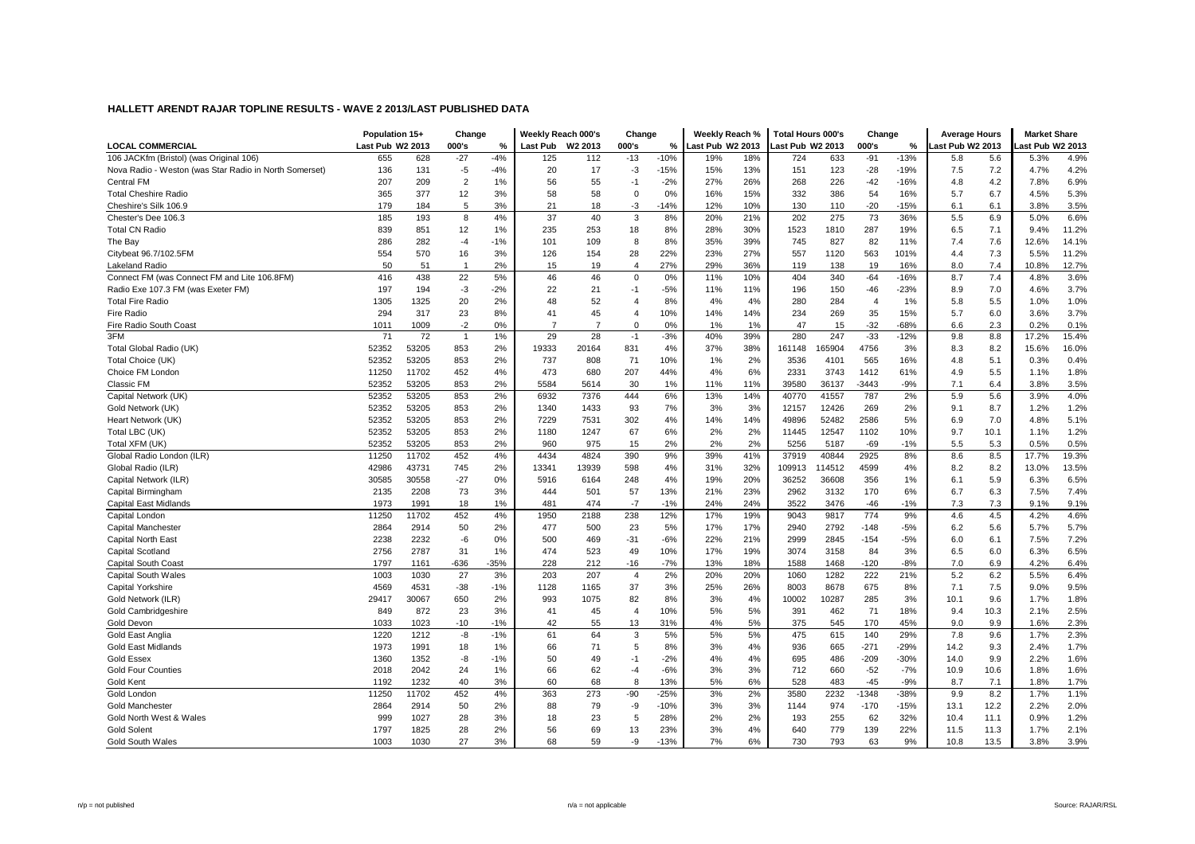|                                                        | Population 15+   |       | Change         |        | Weekly Reach 000's |         | Change         |        | Weekly Reach %   |     | Total Hours 000's |        | Change         |        | <b>Average Hours</b> |      | <b>Market Share</b> |       |
|--------------------------------------------------------|------------------|-------|----------------|--------|--------------------|---------|----------------|--------|------------------|-----|-------------------|--------|----------------|--------|----------------------|------|---------------------|-------|
| <b>LOCAL COMMERCIAL</b>                                | Last Pub W2 2013 |       | 000's          | %      | Last Pub           | W2 2013 | 000's          | %      | Last Pub W2 2013 |     | Last Pub W2 2013  |        | 000's          | %      | ast Pub W2 2013      |      | ast Pub W2 2013     |       |
| 106 JACKfm (Bristol) (was Original 106)                | 655              | 628   | $-27$          | $-4%$  | 125                | 112     | $-13$          | $-10%$ | 19%              | 18% | 724               | 633    | $-91$          | $-13%$ | 5.8                  | 5.6  | 5.3%                | 4.9%  |
| Nova Radio - Weston (was Star Radio in North Somerset) | 136              | 131   | $-5$           | $-4%$  | 20                 | 17      | $-3$           | $-15%$ | 15%              | 13% | 151               | 123    | $-28$          | $-19%$ | 7.5                  | 7.2  | 4.7%                | 4.2%  |
| <b>Central FM</b>                                      | 207              | 209   | $\overline{2}$ | 1%     | 56                 | 55      | $-1$           | $-2%$  | 27%              | 26% | 268               | 226    | $-42$          | $-16%$ | 4.8                  | 4.2  | 7.8%                | 6.9%  |
| <b>Total Cheshire Radio</b>                            | 365              | 377   | 12             | 3%     | 58                 | 58      | 0              | 0%     | 16%              | 15% | 332               | 386    | 54             | 16%    | 5.7                  | 6.7  | 4.5%                | 5.3%  |
| Cheshire's Silk 106.9                                  | 179              | 184   | 5              | 3%     | 21                 | 18      | $-3$           | $-14%$ | 12%              | 10% | 130               | 110    | $-20$          | $-15%$ | 6.1                  | 6.1  | 3.8%                | 3.5%  |
| Chester's Dee 106.3                                    | 185              | 193   | 8              | 4%     | 37                 | 40      | 3              | 8%     | 20%              | 21% | 202               | 275    | 73             | 36%    | 5.5                  | 6.9  | 5.0%                | 6.6%  |
| <b>Total CN Radio</b>                                  | 839              | 851   | 12             | 1%     | 235                | 253     | 18             | 8%     | 28%              | 30% | 1523              | 1810   | 287            | 19%    | 6.5                  | 7.1  | 9.4%                | 11.2% |
| The Bay                                                | 286              | 282   | $-4$           | $-1%$  | 101                | 109     | 8              | 8%     | 35%              | 39% | 745               | 827    | 82             | 11%    | 7.4                  | 7.6  | 12.6%               | 14.1% |
| Citybeat 96.7/102.5FM                                  | 554              | 570   | 16             | 3%     | 126                | 154     | 28             | 22%    | 23%              | 27% | 557               | 1120   | 563            | 101%   | 4.4                  | 7.3  | 5.5%                | 11.2% |
| <b>Lakeland Radio</b>                                  | 50               | 51    | $\overline{1}$ | 2%     | 15                 | 19      | $\overline{4}$ | 27%    | 29%              | 36% | 119               | 138    | 19             | 16%    | 8.0                  | 7.4  | 10.8%               | 12.7% |
| Connect FM (was Connect FM and Lite 106.8FM)           | 416              | 438   | 22             | 5%     | 46                 | 46      | 0              | 0%     | 11%              | 10% | 404               | 340    | $-64$          | $-16%$ | 8.7                  | 7.4  | 4.8%                | 3.6%  |
| Radio Exe 107.3 FM (was Exeter FM)                     | 197              | 194   | $-3$           | $-2%$  | 22                 | 21      | $-1$           | $-5%$  | 11%              | 11% | 196               | 150    | $-46$          | $-23%$ | 8.9                  | 7.0  | 4.6%                | 3.7%  |
| <b>Total Fire Radio</b>                                | 1305             | 1325  | 20             | 2%     | 48                 | 52      | 4              | 8%     | 4%               | 4%  | 280               | 284    | $\overline{4}$ | 1%     | 5.8                  | 5.5  | 1.0%                | 1.0%  |
| Fire Radio                                             | 294              | 317   | 23             | 8%     | 41                 | 45      | $\overline{4}$ | 10%    | 14%              | 14% | 234               | 269    | 35             | 15%    | 5.7                  | 6.0  | 3.6%                | 3.7%  |
| Fire Radio South Coast                                 | 1011             | 1009  | $-2$           | 0%     | $\overline{7}$     | 7       | $\mathbf 0$    | 0%     | 1%               | 1%  | 47                | 15     | $-32$          | $-68%$ | 6.6                  | 2.3  | 0.2%                | 0.1%  |
| 3FM                                                    | 71               | 72    | $\overline{1}$ | 1%     | 29                 | 28      | $-1$           | $-3%$  | 40%              | 39% | 280               | 247    | $-33$          | $-12%$ | 9.8                  | 8.8  | 17.2%               | 15.4% |
| Total Global Radio (UK)                                | 52352            | 53205 | 853            | 2%     | 19333              | 20164   | 831            | 4%     | 37%              | 38% | 161148            | 65904  | 4756           | 3%     | 8.3                  | 8.2  | 15.6%               | 16.0% |
| Total Choice (UK)                                      | 52352            | 53205 | 853            | 2%     | 737                | 808     | 71             | 10%    | 1%               | 2%  | 3536              | 4101   | 565            | 16%    | 4.8                  | 5.1  | 0.3%                | 0.4%  |
| Choice FM London                                       | 11250            | 11702 | 452            | 4%     | 473                | 680     | 207            | 44%    | 4%               | 6%  | 2331              | 3743   | 1412           | 61%    | 4.9                  | 5.5  | 1.1%                | 1.8%  |
| <b>Classic FM</b>                                      | 52352            | 53205 | 853            | 2%     | 5584               | 5614    | 30             | 1%     | 11%              | 11% | 39580             | 36137  | -3443          | $-9%$  | 7.1                  | 6.4  | 3.8%                | 3.5%  |
| Capital Network (UK)                                   | 52352            | 53205 | 853            | 2%     | 6932               | 7376    | 444            | 6%     | 13%              | 14% | 40770             | 41557  | 787            | 2%     | 5.9                  | 5.6  | 3.9%                | 4.0%  |
| Gold Network (UK)                                      | 52352            | 53205 | 853            | 2%     | 1340               | 1433    | 93             | 7%     | 3%               | 3%  | 12157             | 12426  | 269            | 2%     | 9.1                  | 8.7  | 1.2%                | 1.2%  |
| Heart Network (UK)                                     | 52352            | 53205 | 853            | 2%     | 7229               | 7531    | 302            | 4%     | 14%              | 14% | 49896             | 52482  | 2586           | 5%     | 6.9                  | 7.0  | 4.8%                | 5.1%  |
| Total LBC (UK)                                         | 52352            | 53205 | 853            | 2%     | 1180               | 1247    | 67             | 6%     | 2%               | 2%  | 11445             | 12547  | 1102           | 10%    | 9.7                  | 10.1 | 1.1%                | 1.2%  |
| Total XFM (UK)                                         | 52352            | 53205 | 853            | 2%     | 960                | 975     | 15             | 2%     | 2%               | 2%  | 5256              | 5187   | $-69$          | $-1%$  | 5.5                  | 5.3  | 0.5%                | 0.5%  |
| Global Radio London (ILR)                              | 11250            | 11702 | 452            | 4%     | 4434               | 4824    | 390            | 9%     | 39%              | 41% | 37919             | 40844  | 2925           | 8%     | 8.6                  | 8.5  | 17.7%               | 19.3% |
| Global Radio (ILR)                                     | 42986            | 43731 | 745            | 2%     | 13341              | 13939   | 598            | 4%     | 31%              | 32% | 109913            | 114512 | 4599           | 4%     | 8.2                  | 8.2  | 13.0%               | 13.5% |
| Capital Network (ILR)                                  | 30585            | 30558 | $-27$          | 0%     | 5916               | 6164    | 248            | 4%     | 19%              | 20% | 36252             | 36608  | 356            | 1%     | 6.1                  | 5.9  | 6.3%                | 6.5%  |
| Capital Birmingham                                     | 2135             | 2208  | 73             | 3%     | 444                | 501     | 57             | 13%    | 21%              | 23% | 2962              | 3132   | 170            | 6%     | 6.7                  | 6.3  | 7.5%                | 7.4%  |
| Capital East Midlands                                  | 1973             | 1991  | 18             | 1%     | 481                | 474     | $-7$           | $-1%$  | 24%              | 24% | 3522              | 3476   | $-46$          | $-1%$  | 7.3                  | 7.3  | 9.1%                | 9.1%  |
| Capital London                                         | 11250            | 11702 | 452            | 4%     | 1950               | 2188    | 238            | 12%    | 17%              | 19% | 9043              | 9817   | 774            | 9%     | 4.6                  | 4.5  | 4.2%                | 4.6%  |
| Capital Manchester                                     | 2864             | 2914  | 50             | 2%     | 477                | 500     | 23             | 5%     | 17%              | 17% | 2940              | 2792   | $-148$         | $-5%$  | 6.2                  | 5.6  | 5.7%                | 5.7%  |
| <b>Capital North East</b>                              | 2238             | 2232  | $-6$           | 0%     | 500                | 469     | $-31$          | $-6%$  | 22%              | 21% | 2999              | 2845   | $-154$         | $-5%$  | 6.0                  | 6.1  | 7.5%                | 7.2%  |
| Capital Scotland                                       | 2756             | 2787  | 31             | 1%     | 474                | 523     | 49             | 10%    | 17%              | 19% | 3074              | 3158   | 84             | 3%     | 6.5                  | 6.0  | 6.3%                | 6.5%  |
| Capital South Coast                                    | 1797             | 1161  | $-636$         | $-35%$ | 228                | 212     | $-16$          | $-7%$  | 13%              | 18% | 1588              | 1468   | $-120$         | $-8%$  | 7.0                  | 6.9  | 4.2%                | 6.4%  |
| <b>Capital South Wales</b>                             | 1003             | 1030  | 27             | 3%     | 203                | 207     | $\overline{4}$ | 2%     | 20%              | 20% | 1060              | 1282   | 222            | 21%    | 5.2                  | 6.2  | 5.5%                | 6.4%  |
| <b>Capital Yorkshire</b>                               | 4569             | 4531  | $-38$          | $-1%$  | 1128               | 1165    | 37             | 3%     | 25%              | 26% | 8003              | 8678   | 675            | 8%     | 7.1                  | 7.5  | 9.0%                | 9.5%  |
| Gold Network (ILR)                                     | 29417            | 30067 | 650            | 2%     | 993                | 1075    | 82             | 8%     | 3%               | 4%  | 10002             | 10287  | 285            | 3%     | 10.1                 | 9.6  | 1.7%                | 1.8%  |
| Gold Cambridgeshire                                    | 849              | 872   | 23             | 3%     | 41                 | 45      | 4              | 10%    | 5%               | 5%  | 391               | 462    | 71             | 18%    | 9.4                  | 10.3 | 2.1%                | 2.5%  |
| Gold Devon                                             | 1033             | 1023  | $-10$          | $-1%$  | 42                 | 55      | 13             | 31%    | 4%               | 5%  | 375               | 545    | 170            | 45%    | 9.0                  | 9.9  | 1.6%                | 2.3%  |
| Gold East Anglia                                       | 1220             | 1212  | -8             | $-1%$  | 61                 | 64      | 3              | 5%     | 5%               | 5%  | 475               | 615    | 140            | 29%    | 7.8                  | 9.6  | 1.7%                | 2.3%  |
| <b>Gold East Midlands</b>                              | 1973             | 1991  | 18             | 1%     | 66                 | 71      | 5              | 8%     | 3%               | 4%  | 936               | 665    | $-271$         | $-29%$ | 14.2                 | 9.3  | 2.4%                | 1.7%  |
| <b>Gold Essex</b>                                      | 1360             | 1352  | -8             | $-1%$  | 50                 | 49      | $-1$           | $-2%$  | 4%               | 4%  | 695               | 486    | $-209$         | $-30%$ | 14.0                 | 9.9  | 2.2%                | 1.6%  |
| <b>Gold Four Counties</b>                              | 2018             | 2042  | 24             | 1%     | 66                 | 62      | $-4$           | $-6%$  | 3%               | 3%  | 712               | 660    | $-52$          | $-7%$  | 10.9                 | 10.6 | 1.8%                | 1.6%  |
| Gold Kent                                              | 1192             | 1232  | 40             | 3%     | 60                 | 68      | 8              | 13%    | 5%               | 6%  | 528               | 483    | $-45$          | $-9%$  | 8.7                  | 7.1  | 1.8%                | 1.7%  |
| Gold London                                            | 11250            | 11702 | 452            | 4%     | 363                | 273     | $-90$          | $-25%$ | 3%               | 2%  | 3580              | 2232   | -1348          | -38%   | 9.9                  | 8.2  | 1.7%                | 1.1%  |
| <b>Gold Manchester</b>                                 | 2864             | 2914  | 50             | 2%     | 88                 | 79      | -9             | $-10%$ | 3%               | 3%  | 1144              | 974    | $-170$         | $-15%$ | 13.1                 | 12.2 | 2.2%                | 2.0%  |
| Gold North West & Wales                                | 999              | 1027  | 28             | 3%     | 18                 | 23      | 5              | 28%    | 2%               | 2%  | 193               | 255    | 62             | 32%    | 10.4                 | 11.1 | 0.9%                | 1.2%  |
| <b>Gold Solent</b>                                     | 1797             | 1825  | 28             | 2%     | 56                 | 69      | 13             | 23%    | 3%               | 4%  | 640               | 779    | 139            | 22%    | 11.5                 | 11.3 | 1.7%                | 2.1%  |
| Gold South Wales                                       | 1003             | 1030  | 27             | 3%     | 68                 | 59      | -9             | $-13%$ | 7%               | 6%  | 730               | 793    | 63             | 9%     | 10.8                 | 13.5 | 3.8%                | 3.9%  |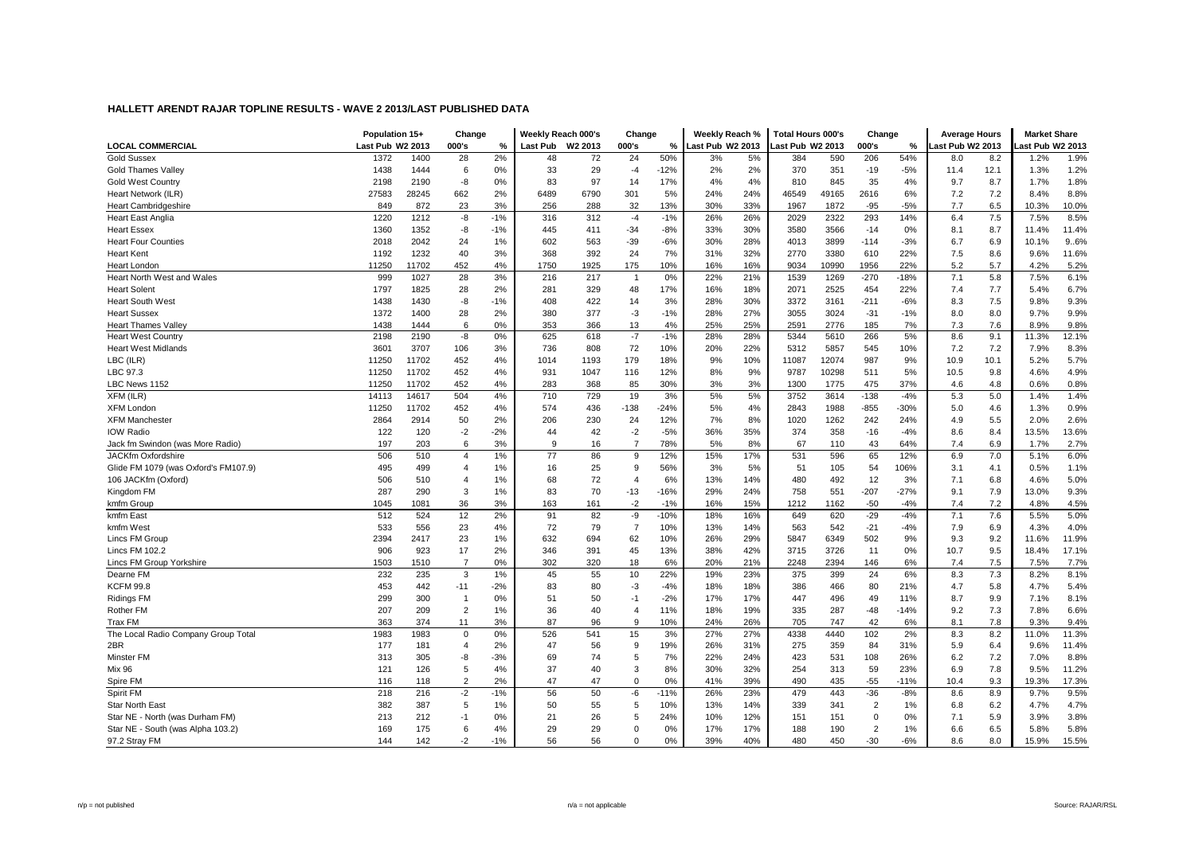|                                      | Population 15+   |       | Change         |       | Weekly Reach 000's |                     | Change         |        | Weekly Reach %   |     | <b>Total Hours 000's</b> |       | Change         |               | <b>Average Hours</b> |            | <b>Market Share</b> |                |
|--------------------------------------|------------------|-------|----------------|-------|--------------------|---------------------|----------------|--------|------------------|-----|--------------------------|-------|----------------|---------------|----------------------|------------|---------------------|----------------|
| <b>LOCAL COMMERCIAL</b>              | Last Pub W2 2013 |       | 000's          | %     | Last Pub           | W <sub>2</sub> 2013 | 000's          | %      | Last Pub W2 2013 |     | ast Pub W2 2013          |       | 000's          | $\%$          | ast Pub W2 2013      |            | ast Pub W2 2013     |                |
| <b>Gold Sussex</b>                   | 1372             | 1400  | 28             | 2%    | 48                 | 72                  | 24             | 50%    | 3%               | 5%  | 384                      | 590   | 206            | 54%           | 8.0                  | 8.2        | 1.2%                | 1.9%           |
| <b>Gold Thames Valley</b>            | 1438             | 1444  | 6              | 0%    | 33                 | 29                  | $-4$           | $-12%$ | 2%               | 2%  | 370                      | 351   | $-19$          | $-5%$         | 11.4                 | 12.1       | 1.3%                | 1.2%           |
| <b>Gold West Country</b>             | 2198             | 2190  | -8             | 0%    | 83                 | 97                  | 14             | 17%    | 4%               | 4%  | 810                      | 845   | 35             | 4%            | 9.7                  | 8.7        | 1.7%                | 1.8%           |
| Heart Network (ILR)                  | 27583            | 28245 | 662            | 2%    | 6489               | 6790                | 301            | 5%     | 24%              | 24% | 46549                    | 49165 | 2616           | 6%            | 7.2                  | 7.2        | 8.4%                | 8.8%           |
| <b>Heart Cambridgeshire</b>          | 849              | 872   | 23             | 3%    | 256                | 288                 | 32             | 13%    | 30%              | 33% | 1967                     | 1872  | $-95$          | $-5%$         | 7.7                  | 6.5        | 10.3%               | 10.0%          |
| <b>Heart East Anglia</b>             | 1220             | 1212  | $-8$           | $-1%$ | 316                | 312                 | $-4$           | $-1%$  | 26%              | 26% | 2029                     | 2322  | 293            | 14%           | 6.4                  | 7.5        | 7.5%                | 8.5%           |
| <b>Heart Essex</b>                   | 1360             | 1352  | -8             | $-1%$ | 445                | 411                 | $-34$          | $-8%$  | 33%              | 30% | 3580                     | 3566  | $-14$          | 0%            | 8.1                  | 8.7        | 11.4%               | 11.4%          |
| <b>Heart Four Counties</b>           | 2018             | 2042  | 24             | 1%    | 602                | 563                 | $-39$          | $-6%$  | 30%              | 28% | 4013                     | 3899  | $-114$         | $-3%$         | 6.7                  | 6.9        | 10.1%               | 9.6%           |
| <b>Heart Kent</b>                    | 1192             | 1232  | 40             | 3%    | 368                | 392                 | 24             | 7%     | 31%              | 32% | 2770                     | 3380  | 610            | 22%           | 7.5                  | 8.6        | 9.6%                | 11.6%          |
| Heart London                         | 11250            | 11702 | 452            | 4%    | 1750               | 1925                | 175            | 10%    | 16%              | 16% | 9034                     | 10990 | 1956           | 22%           | 5.2                  | 5.7        | 4.2%                | 5.2%           |
| Heart North West and Wales           | 999              | 1027  | 28             | 3%    | 216                | 217                 | $\overline{1}$ | 0%     | 22%              | 21% | 1539                     | 1269  | $-270$         | $-18%$        | 7.1                  | 5.8        | 7.5%                | 6.1%           |
| <b>Heart Solent</b>                  | 1797             | 1825  | 28             | 2%    | 281                | 329                 | 48             | 17%    | 16%              | 18% | 2071                     | 2525  | 454            | 22%           | 7.4                  | 7.7        | 5.4%                | 6.7%           |
| <b>Heart South West</b>              | 1438             | 1430  | -8             | $-1%$ | 408                | 422                 | 14             | 3%     | 28%              | 30% | 3372                     | 3161  | $-211$         | $-6%$         | 8.3                  | 7.5        | 9.8%                | 9.3%           |
| <b>Heart Sussex</b>                  | 1372             | 1400  | 28             | 2%    | 380                | 377                 | $-3$           | $-1%$  | 28%              | 27% | 3055                     | 3024  | $-31$          | $-1%$         | 8.0                  | 8.0        | 9.7%                | 9.9%           |
| <b>Heart Thames Valley</b>           | 1438             | 1444  | 6              | 0%    | 353                | 366                 | 13             | 4%     | 25%              | 25% | 2591                     | 2776  | 185            | 7%            | 7.3                  | 7.6        | 8.9%                | 9.8%           |
| <b>Heart West Country</b>            | 2198             | 2190  | -8             | 0%    | 625                | 618                 | $-7$           | $-1%$  | 28%              | 28% | 5344                     | 5610  | 266            | 5%            | 8.6                  | 9.1        | 11.3%               | 12.1%          |
| <b>Heart West Midlands</b>           | 3601             | 3707  | 106            | 3%    | 736                | 808                 | 72             | 10%    | 20%              | 22% | 5312                     | 5857  | 545            | 10%           | 7.2                  | 7.2        | 7.9%                | 8.3%           |
| LBC (ILR)                            | 11250            | 11702 | 452            | 4%    | 1014               | 1193                | 179            | 18%    | 9%               | 10% | 11087                    | 12074 | 987            | 9%            | 10.9                 | 10.1       | 5.2%                | 5.7%           |
| LBC 97.3                             | 11250            | 11702 | 452            | 4%    | 931                | 1047                | 116            | 12%    | 8%               | 9%  | 9787                     | 10298 | 511            | 5%            | 10.5                 | 9.8        | 4.6%                | 4.9%           |
| LBC News 1152                        | 11250            | 11702 | 452            | 4%    | 283                | 368                 | 85             | 30%    | 3%               | 3%  | 1300                     | 1775  | 475            | 37%           | 4.6                  | 4.8        | 0.6%                | 0.8%           |
| XFM (ILR)                            | 14113            | 14617 | 504            | 4%    | 710                | 729                 | 19             | 3%     | 5%               | 5%  | 3752                     | 3614  | $-138$         | $-4%$         | 5.3                  | 5.0        | 1.4%                | 1.4%           |
| <b>XFM Londor</b>                    | 11250            | 11702 | 452            | 4%    | 574                | 436                 | $-138$         | $-24%$ | 5%               | 4%  | 2843                     | 1988  | $-855$         | $-30%$        | 5.0                  | 4.6        | 1.3%                | 0.9%           |
| <b>XFM Manchester</b>                | 2864             | 2914  | 50             | 2%    | 206                | 230                 | 24             | 12%    | 7%               | 8%  | 1020                     | 1262  | 242            | 24%           | 4.9                  | 5.5        | 2.0%                | 2.6%           |
| <b>IOW Radio</b>                     | 122              | 120   | $-2$           | $-2%$ | 44                 | 42                  | $-2$           | $-5%$  | 36%              | 35% | 374                      | 358   | $-16$          | $-4%$         | 8.6                  | 8.4        | 13.5%               | 13.6%          |
| Jack fm Swindon (was More Radio)     | 197              | 203   | 6              | 3%    | 9                  | 16                  | $\overline{7}$ | 78%    | 5%               | 8%  | 67                       | 110   | 43             | 64%           | 7.4                  | 6.9        | 1.7%                | 2.7%           |
| <b>JACKfm Oxfordshire</b>            | 506              | 510   | $\overline{4}$ | 1%    | 77                 | 86                  | 9              | 12%    | 15%              | 17% | 531                      | 596   | 65             | 12%           | 6.9                  | 7.0        | 5.1%                | 6.0%           |
| Glide FM 1079 (was Oxford's FM107.9) | 495              | 499   | 4              | 1%    | 16                 | 25                  | 9              | 56%    | 3%               | 5%  | 51                       | 105   | 54             | 106%          | 3.1                  | 4.1        | 0.5%                | 1.1%           |
| 106 JACKfm (Oxford)                  | 506              | 510   | 4              | 1%    | 68                 | 72                  | $\overline{4}$ | 6%     | 13%              | 14% | 480                      | 492   | 12             | 3%            | 7.1                  | 6.8        | 4.6%                | 5.0%           |
| Kingdom FM                           | 287              | 290   | 3              | 1%    | 83                 | 70                  | $-13$          | $-16%$ | 29%              | 24% | 758                      | 551   | $-207$         | $-27%$        | 9.1                  | 7.9        | 13.0%               | 9.3%           |
| kmfm Group                           | 1045             | 1081  | 36             | 3%    | 163                | 161                 | $-2$           | $-1%$  | 16%              | 15% | 1212                     | 1162  | $-50$          | $-4%$         | 7.4                  | 7.2        | 4.8%                | 4.5%           |
| kmfm East                            | 512              | 524   | 12             | 2%    | 91                 | 82                  | -9             | $-10%$ | 18%              | 16% | 649                      | 620   | $-29$          | $-4%$         | 7.1                  | 7.6        | 5.5%                | 5.0%           |
| kmfm West                            | 533              | 556   | 23             | 4%    | 72                 | 79                  | $\overline{7}$ | 10%    | 13%              | 14% | 563                      | 542   | $-21$          | $-4%$         | 7.9                  | 6.9        | 4.3%                | 4.0%           |
| Lincs FM Group                       | 2394             | 2417  | 23             | 1%    | 632                | 694                 | 62             | 10%    | 26%              | 29% | 5847                     | 6349  | 502            | 9%            | 9.3                  | 9.2        | 11.6%               | 11.9%          |
| <b>Lincs FM 102.2</b>                | 906              | 923   | 17             | 2%    | 346                | 391                 | 45             | 13%    | 38%              | 42% | 3715                     | 3726  | 11             | 0%            | 10.7                 | 9.5        | 18.4%               | 17.1%          |
| Lincs FM Group Yorkshire             | 1503             | 1510  | $\overline{7}$ | 0%    | 302                | 320                 | 18             | 6%     | 20%              | 21% | 2248                     | 2394  | 146            | 6%            | 7.4                  | 7.5        | 7.5%                | 7.7%           |
| Dearne FM                            | 232              | 235   | 3              | 1%    | 45                 | 55                  | 10             | 22%    | 19%              | 23% | 375                      | 399   | 24             | 6%            | 8.3                  | 7.3        | 8.2%                | 8.1%           |
| <b>KCFM 99.8</b>                     | 453              | 442   | $-11$          | $-2%$ | 83                 | 80                  | $-3$           | $-4%$  | 18%              | 18% | 386                      | 466   | 80             | 21%           | 4.7                  | 5.8        | 4.7%                | 5.4%           |
| <b>Ridings FM</b>                    | 299              | 300   | $\mathbf{1}$   | 0%    | 51                 | 50                  | $-1$           | $-2%$  | 17%              | 17% | 447                      | 496   | 49             | 11%           | 8.7                  | 9.9        | 7.1%                | 8.1%           |
| <b>Rother FM</b>                     | 207              | 209   | $\overline{2}$ | 1%    | 36                 | 40                  | $\overline{4}$ | 11%    | 18%              | 19% | 335                      | 287   | $-48$          | $-14%$        | 9.2                  | 7.3        | 7.8%                | 6.6%           |
| Trax FM                              | 363              | 374   | 11             | 3%    | 87                 | 96                  | 9              | 10%    | 24%              | 26% | 705                      | 747   | 42             | 6%            | 8.1                  | 7.8        | 9.3%                | 9.4%           |
| The Local Radio Company Group Total  | 1983             | 1983  | $\mathbf 0$    | 0%    | 526                | 541                 | 15             | 3%     | 27%              | 27% | 4338                     | 4440  | 102            | 2%            | 8.3                  | 8.2        | 11.0%               | 11.3%          |
| 2BR                                  | 177              | 181   | $\overline{4}$ | 2%    | 47                 | 56                  | 9              | 19%    | 26%              | 31% | 275                      | 359   | 84             | 31%           | 5.9                  | 6.4        | 9.6%                | 11.4%          |
|                                      | 313              |       | -8             | $-3%$ | 69                 | 74                  | 5              | 7%     |                  | 24% | 423                      | 531   | 108            | 26%           | 6.2                  |            | 7.0%                | 8.8%           |
| Minster FM<br><b>Mix 96</b>          | 121              | 305   | 5              | 4%    | 37                 | 40                  | 3              | 8%     | 22%              | 32% |                          | 313   |                |               | 6.9                  | 7.2<br>7.8 | 9.5%                |                |
|                                      | 116              | 126   | $\overline{2}$ | 2%    | 47                 | 47                  | $\Omega$       | 0%     | 30%<br>41%       | 39% | 254<br>490               | 435   | 59<br>$-55$    | 23%<br>$-11%$ | 10.4                 |            | 19.3%               | 11.2%<br>17.3% |
| Spire FM                             |                  | 118   |                |       |                    |                     |                |        |                  |     |                          |       |                |               |                      | 9.3        |                     |                |
| Spirit FM                            | 218              | 216   | $-2$           | $-1%$ | 56                 | 50                  | -6             | $-11%$ | 26%              | 23% | 479                      | 443   | $-36$          | $-8%$         | 8.6                  | 8.9        | 9.7%                | 9.5%           |
| <b>Star North East</b>               | 382              | 387   | 5              | 1%    | 50                 | 55                  | 5              | 10%    | 13%              | 14% | 339                      | 341   | 2              | 1%            | 6.8                  | 6.2        | 4.7%                | 4.7%           |
| Star NE - North (was Durham FM)      | 213              | 212   | $-1$           | 0%    | 21                 | 26                  | 5              | 24%    | 10%              | 12% | 151                      | 151   | 0              | 0%            | 7.1                  | 5.9        | 3.9%                | 3.8%           |
| Star NE - South (was Alpha 103.2)    | 169              | 175   | 6              | 4%    | 29                 | 29                  | $\Omega$       | 0%     | 17%              | 17% | 188                      | 190   | $\overline{2}$ | 1%            | 6.6                  | 6.5        | 5.8%                | 5.8%           |
| 97.2 Stray FM                        | 144              | 142   | $-2$           | $-1%$ | 56                 | 56                  | $\Omega$       | 0%     | 39%              | 40% | 480                      | 450   | $-30$          | $-6%$         | 8.6                  | 8.0        | 15.9%               | 15.5%          |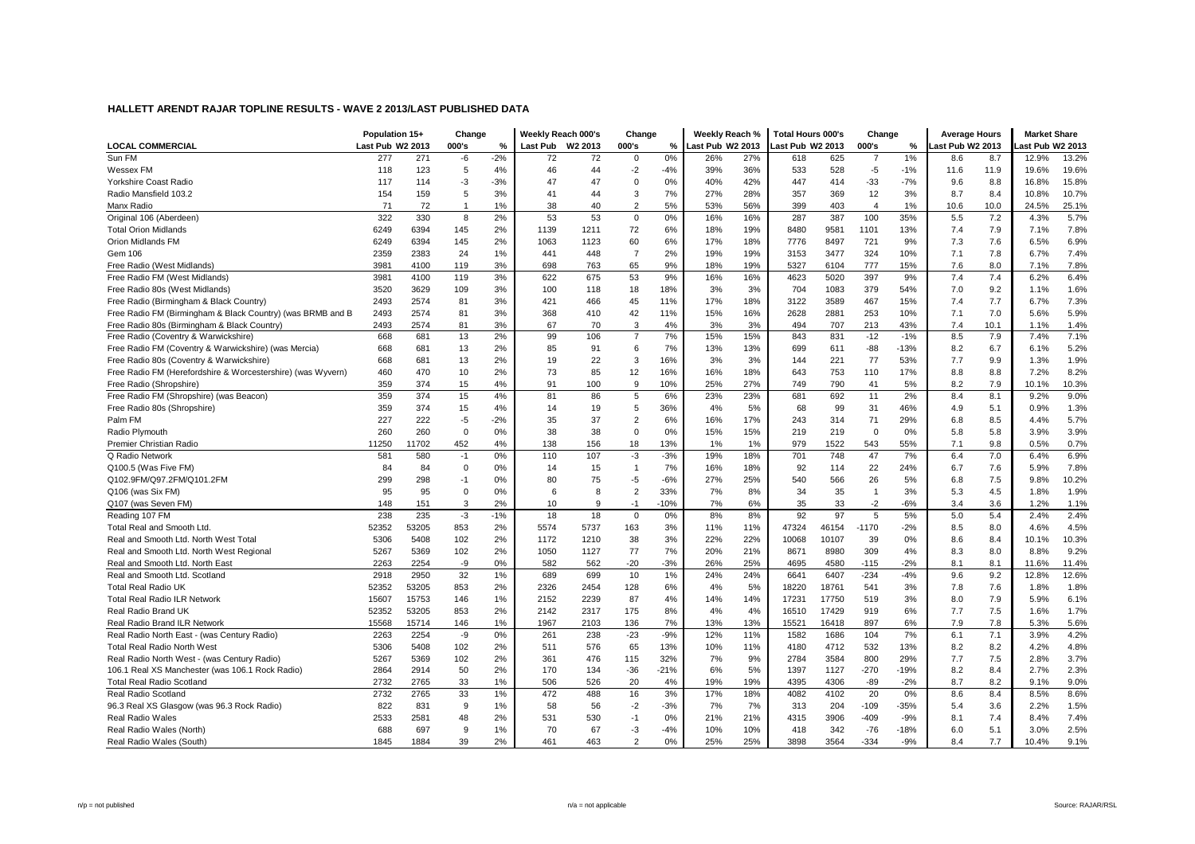|                                                             | Population 15+   |       | Change         |       | Weekly Reach 000's |         | Change         |        | Weekly Reach %   |     | Total Hours 000's |       | Change         |        | <b>Average Hours</b> |      | <b>Market Share</b> |       |
|-------------------------------------------------------------|------------------|-------|----------------|-------|--------------------|---------|----------------|--------|------------------|-----|-------------------|-------|----------------|--------|----------------------|------|---------------------|-------|
| <b>LOCAL COMMERCIAL</b>                                     | Last Pub W2 2013 |       | 000's          | $\%$  | <b>Last Pub</b>    | W2 2013 | 000's          | %      | Last Pub W2 2013 |     | Last Pub W2 2013  |       | 000's          | %      | ast Pub W2 2013      |      | ast Pub W2 2013     |       |
| Sun FM                                                      | 277              | 271   | -6             | $-2%$ | 72                 | 72      | $\Omega$       | 0%     | 26%              | 27% | 618               | 625   | $\overline{7}$ | 1%     | 8.6                  | 8.7  | 12.9%               | 13.2% |
| Wessex FM                                                   | 118              | 123   | 5              | 4%    | 46                 | 44      | $-2$           | $-4%$  | 39%              | 36% | 533               | 528   | $-5$           | $-1%$  | 11.6                 | 11.9 | 19.6%               | 19.6% |
| Yorkshire Coast Radio                                       | 117              | 114   | -3             | $-3%$ | 47                 | 47      | $\Omega$       | 0%     | 40%              | 42% | 447               | 414   | $-33$          | $-7%$  | 9.6                  | 8.8  | 16.8%               | 15.8% |
| Radio Mansfield 103.2                                       | 154              | 159   | 5              | 3%    | 41                 | 44      | 3              | 7%     | 27%              | 28% | 357               | 369   | 12             | 3%     | 8.7                  | 8.4  | 10.8%               | 10.7% |
| Manx Radio                                                  | 71               | 72    | $\overline{1}$ | 1%    | 38                 | 40      | $\overline{2}$ | 5%     | 53%              | 56% | 399               | 403   | $\overline{4}$ | 1%     | 10.6                 | 10.0 | 24.5%               | 25.1% |
| Original 106 (Aberdeen)                                     | 322              | 330   | 8              | 2%    | 53                 | 53      | $\mathsf 0$    | 0%     | 16%              | 16% | 287               | 387   | 100            | 35%    | 5.5                  | 7.2  | 4.3%                | 5.7%  |
| <b>Total Orion Midlands</b>                                 | 6249             | 6394  | 145            | 2%    | 1139               | 1211    | 72             | 6%     | 18%              | 19% | 8480              | 9581  | 1101           | 13%    | 7.4                  | 7.9  | 7.1%                | 7.8%  |
| Orion Midlands FM                                           | 6249             | 6394  | 145            | 2%    | 1063               | 1123    | 60             | 6%     | 17%              | 18% | 7776              | 8497  | 721            | 9%     | 7.3                  | 7.6  | 6.5%                | 6.9%  |
| Gem 106                                                     | 2359             | 2383  | 24             | 1%    | 441                | 448     | $\overline{7}$ | 2%     | 19%              | 19% | 3153              | 3477  | 324            | 10%    | 7.1                  | 7.8  | 6.7%                | 7.4%  |
| Free Radio (West Midlands)                                  | 3981             | 4100  | 119            | 3%    | 698                | 763     | 65             | 9%     | 18%              | 19% | 5327              | 6104  | 777            | 15%    | 7.6                  | 8.0  | 7.1%                | 7.8%  |
| Free Radio FM (West Midlands)                               | 3981             | 4100  | 119            | 3%    | 622                | 675     | 53             | 9%     | 16%              | 16% | 4623              | 5020  | 397            | 9%     | 7.4                  | 7.4  | 6.2%                | 6.4%  |
| Free Radio 80s (West Midlands)                              | 3520             | 3629  | 109            | 3%    | 100                | 118     | 18             | 18%    | 3%               | 3%  | 704               | 1083  | 379            | 54%    | 7.0                  | 9.2  | 1.1%                | 1.6%  |
| Free Radio (Birmingham & Black Country)                     | 2493             | 2574  | 81             | 3%    | 421                | 466     | 45             | 11%    | 17%              | 18% | 3122              | 3589  | 467            | 15%    | 7.4                  | 7.7  | 6.7%                | 7.3%  |
| Free Radio FM (Birmingham & Black Country) (was BRMB and B  | 2493             | 2574  | 81             | 3%    | 368                | 410     | 42             | 11%    | 15%              | 16% | 2628              | 2881  | 253            | 10%    | 7.1                  | 7.0  | 5.6%                | 5.9%  |
| Free Radio 80s (Birmingham & Black Country)                 | 2493             | 2574  | 81             | 3%    | 67                 | 70      | 3              | 4%     | 3%               | 3%  | 494               | 707   | 213            | 43%    | 7.4                  | 10.1 | 1.1%                | 1.4%  |
| Free Radio (Coventry & Warwickshire)                        | 668              | 681   | 13             | 2%    | 99                 | 106     | $\overline{7}$ | 7%     | 15%              | 15% | 843               | 831   | $-12$          | $-1%$  | 8.5                  | 7.9  | 7.4%                | 7.1%  |
| Free Radio FM (Coventry & Warwickshire) (was Mercia)        | 668              | 681   | 13             | 2%    | 85                 | 91      | 6              | 7%     | 13%              | 13% | 699               | 611   | $-88$          | $-13%$ | 8.2                  | 6.7  | 6.1%                | 5.2%  |
| Free Radio 80s (Coventry & Warwickshire)                    | 668              | 681   | 13             | 2%    | 19                 | 22      | 3              | 16%    | 3%               | 3%  | 144               | 221   | 77             | 53%    | 7.7                  | 9.9  | 1.3%                | 1.9%  |
| Free Radio FM (Herefordshire & Worcestershire) (was Wyvern) | 460              | 470   | 10             | 2%    | 73                 | 85      | 12             | 16%    | 16%              | 18% | 643               | 753   | 110            | 17%    | 8.8                  | 8.8  | 7.2%                | 8.2%  |
| Free Radio (Shropshire)                                     | 359              | 374   | 15             | 4%    | 91                 | 100     | 9              | 10%    | 25%              | 27% | 749               | 790   | 41             | 5%     | 8.2                  | 7.9  | 10.1%               | 10.3% |
| Free Radio FM (Shropshire) (was Beacon)                     | 359              | 374   | 15             | 4%    | 81                 | 86      | 5              | 6%     | 23%              | 23% | 681               | 692   | 11             | 2%     | 8.4                  | 8.1  | 9.2%                | 9.0%  |
| Free Radio 80s (Shropshire)                                 | 359              | 374   | 15             | 4%    | 14                 | 19      | 5              | 36%    | 4%               | 5%  | 68                | 99    | 31             | 46%    | 4.9                  | 5.1  | 0.9%                | 1.3%  |
| Palm FM                                                     | 227              | 222   | -5             | $-2%$ | 35                 | 37      | $\overline{2}$ | 6%     | 16%              | 17% | 243               | 314   | 71             | 29%    | 6.8                  | 8.5  | 4.4%                | 5.7%  |
| Radio Plymouth                                              | 260              | 260   | $\mathbf 0$    | 0%    | 38                 | 38      | $\mathbf 0$    | 0%     | 15%              | 15% | 219               | 219   | $\mathbf 0$    | 0%     | 5.8                  | 5.8  | 3.9%                | 3.9%  |
| Premier Christian Radio                                     | 11250            | 11702 | 452            | 4%    | 138                | 156     | 18             | 13%    | 1%               | 1%  | 979               | 1522  | 543            | 55%    | 7.1                  | 9.8  | 0.5%                | 0.7%  |
| Q Radio Network                                             | 581              | 580   | $-1$           | 0%    | 110                | 107     | $-3$           | $-3%$  | 19%              | 18% | 701               | 748   | 47             | 7%     | 6.4                  | 7.0  | 6.4%                | 6.9%  |
| Q100.5 (Was Five FM)                                        | 84               | 84    | $\mathbf 0$    | 0%    | 14                 | 15      | $\overline{1}$ | 7%     | 16%              | 18% | 92                | 114   | 22             | 24%    | 6.7                  | 7.6  | 5.9%                | 7.8%  |
| Q102.9FM/Q97.2FM/Q101.2FM                                   | 299              | 298   | $-1$           | 0%    | 80                 | 75      | $-5$           | $-6%$  | 27%              | 25% | 540               | 566   | 26             | 5%     | 6.8                  | 7.5  | 9.8%                | 10.2% |
| Q106 (was Six FM)                                           | 95               | 95    | $\mathbf 0$    | 0%    | 6                  | 8       | $\overline{2}$ | 33%    | 7%               | 8%  | 34                | 35    | $\overline{1}$ | 3%     | 5.3                  | 4.5  | 1.8%                | 1.9%  |
| Q107 (was Seven FM)                                         | 148              | 151   | 3              | 2%    | 10                 | 9       | $-1$           | $-10%$ | 7%               | 6%  | 35                | 33    | $-2$           | $-6%$  | 3.4                  | 3.6  | 1.2%                | 1.1%  |
| Reading 107 FM                                              | 238              | 235   | $-3$           | $-1%$ | 18                 | 18      | $\mathbf 0$    | 0%     | 8%               | 8%  | 92                | 97    | 5              | 5%     | 5.0                  | 5.4  | 2.4%                | 2.4%  |
| Total Real and Smooth Ltd                                   | 52352            | 53205 | 853            | 2%    | 5574               | 5737    | 163            | 3%     | 11%              | 11% | 47324             | 46154 | $-1170$        | $-2%$  | 8.5                  | 8.0  | 4.6%                | 4.5%  |
| Real and Smooth Ltd. North West Total                       | 5306             | 5408  | 102            | 2%    | 1172               | 1210    | 38             | 3%     | 22%              | 22% | 10068             | 10107 | 39             | 0%     | 8.6                  | 8.4  | 10.1%               | 10.3% |
| Real and Smooth Ltd. North West Regional                    | 5267             | 5369  | 102            | 2%    | 1050               | 1127    | 77             | 7%     | 20%              | 21% | 8671              | 8980  | 309            | 4%     | 8.3                  | 8.0  | 8.8%                | 9.2%  |
| Real and Smooth Ltd. North East                             | 2263             | 2254  | -9             | 0%    | 582                | 562     | $-20$          | $-3%$  | 26%              | 25% | 4695              | 4580  | $-115$         | $-2%$  | 8.1                  | 8.1  | 11.6%               | 11.4% |
| Real and Smooth Ltd. Scotland                               | 2918             | 2950  | 32             | 1%    | 689                | 699     | 10             | 1%     | 24%              | 24% | 6641              | 6407  | $-234$         | $-4%$  | 9.6                  | 9.2  | 12.8%               | 12.6% |
| <b>Total Real Radio UK</b>                                  | 52352            | 53205 | 853            | 2%    | 2326               | 2454    | 128            | 6%     | 4%               | 5%  | 18220             | 18761 | 541            | 3%     | 7.8                  | 7.6  | 1.8%                | 1.8%  |
| <b>Total Real Radio ILR Network</b>                         | 15607            | 15753 | 146            | 1%    | 2152               | 2239    | 87             | 4%     | 14%              | 14% | 17231             | 17750 | 519            | 3%     | 8.0                  | 7.9  | 5.9%                | 6.1%  |
| Real Radio Brand UK                                         | 52352            | 53205 | 853            | 2%    | 2142               | 2317    | 175            | 8%     | 4%               | 4%  | 16510             | 17429 | 919            | 6%     | 7.7                  | 7.5  | 1.6%                | 1.7%  |
| Real Radio Brand ILR Network                                | 15568            | 15714 | 146            | 1%    | 1967               | 2103    | 136            | 7%     | 13%              | 13% | 15521             | 16418 | 897            | 6%     | 7.9                  | 7.8  | 5.3%                | 5.6%  |
| Real Radio North East - (was Century Radio)                 | 2263             | 2254  | -9             | 0%    | 261                | 238     | $-23$          | $-9%$  | 12%              | 11% | 1582              | 1686  | 104            | 7%     | 6.1                  | 7.1  | 3.9%                | 4.2%  |
| <b>Total Real Radio North West</b>                          | 5306             | 5408  | 102            | 2%    | 511                | 576     | 65             | 13%    | 10%              | 11% | 4180              | 4712  | 532            | 13%    | 8.2                  | 8.2  | 4.2%                | 4.8%  |
| Real Radio North West - (was Century Radio)                 | 5267             | 5369  | 102            | 2%    | 361                | 476     | 115            | 32%    | 7%               | 9%  | 2784              | 3584  | 800            | 29%    | 7.7                  | 7.5  | 2.8%                | 3.7%  |
| 106.1 Real XS Manchester (was 106.1 Rock Radio)             | 2864             | 2914  | 50             | 2%    | 170                | 134     | $-36$          | $-21%$ | 6%               | 5%  | 1397              | 1127  | $-270$         | $-19%$ | 8.2                  | 8.4  | 2.7%                | 2.3%  |
| <b>Total Real Radio Scotland</b>                            | 2732             | 2765  | 33             | 1%    | 506                | 526     | 20             | 4%     | 19%              | 19% | 4395              | 4306  | $-89$          | $-2%$  | 8.7                  | 8.2  | 9.1%                | 9.0%  |
| Real Radio Scotland                                         | 2732             | 2765  | 33             | 1%    | 472                | 488     | 16             | 3%     | 17%              | 18% | 4082              | 4102  | 20             | 0%     | 8.6                  | 8.4  | 8.5%                | 8.6%  |
| 96.3 Real XS Glasgow (was 96.3 Rock Radio)                  | 822              | 831   | 9              | 1%    | 58                 | 56      | $-2$           | $-3%$  | 7%               | 7%  | 313               | 204   | $-109$         | $-35%$ | 5.4                  | 3.6  | 2.2%                | 1.5%  |
| <b>Real Radio Wales</b>                                     | 2533             | 2581  | 48             | 2%    | 531                | 530     | $-1$           | 0%     | 21%              | 21% | 4315              | 3906  | $-409$         | $-9%$  | 8.1                  | 7.4  | 8.4%                | 7.4%  |
| Real Radio Wales (North)                                    | 688              | 697   | 9              | 1%    | 70                 | 67      | $-3$           | $-4%$  | 10%              | 10% | 418               | 342   | $-76$          | $-18%$ | 6.0                  | 5.1  | 3.0%                | 2.5%  |
| Real Radio Wales (South)                                    | 1845             | 1884  | 39             | 2%    | 461                | 463     | $\overline{2}$ | 0%     | 25%              | 25% | 3898              | 3564  | $-334$         | $-9%$  | 8.4                  | 7.7  | 10.4%               | 9.1%  |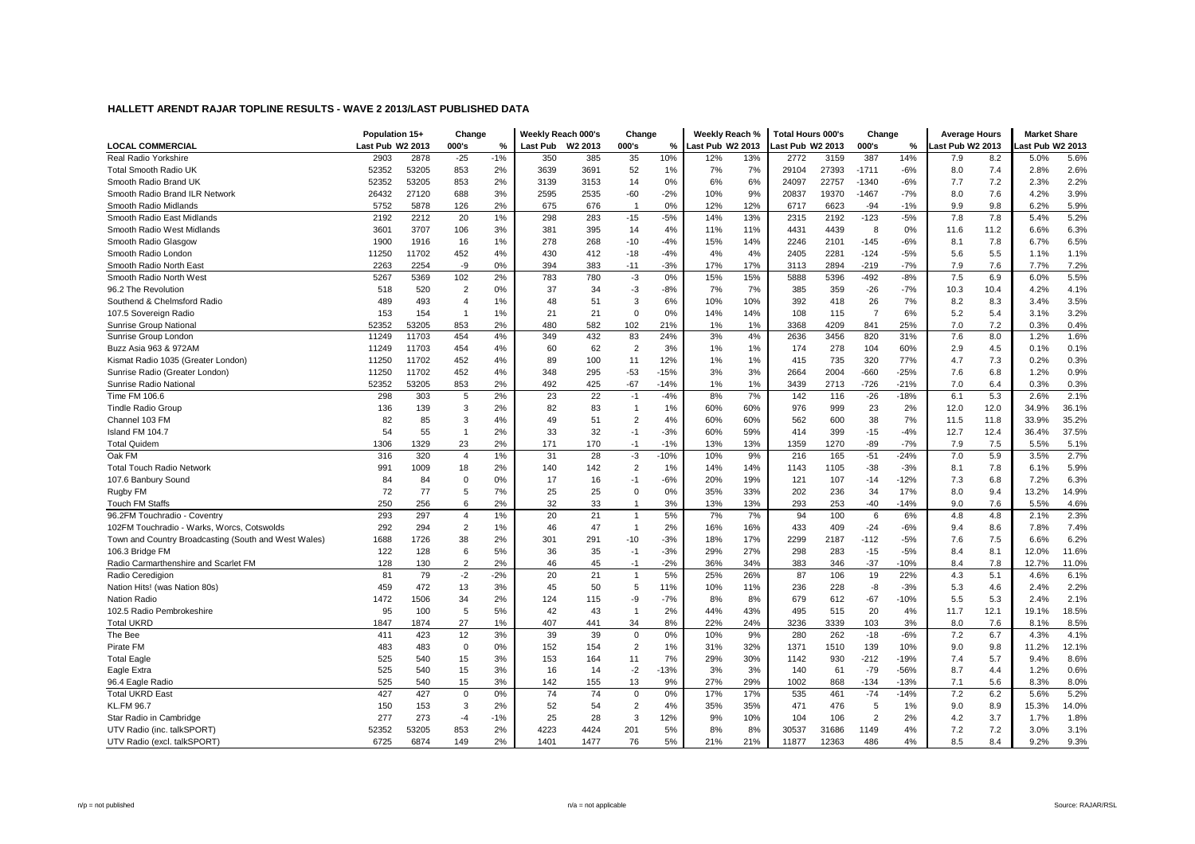|                                                      | Population 15+   |       | Change         |       | Weekly Reach 000's |         | Change         |        | Weekly Reach %   |     | <b>Total Hours 000's</b> |       | Change         |        | <b>Average Hours</b> |      | <b>Market Share</b> |       |
|------------------------------------------------------|------------------|-------|----------------|-------|--------------------|---------|----------------|--------|------------------|-----|--------------------------|-------|----------------|--------|----------------------|------|---------------------|-------|
| <b>LOCAL COMMERCIAL</b>                              | Last Pub W2 2013 |       | 000's          | %     | Last Pub           | W2 2013 | 000's          | ℅      | Last Pub W2 2013 |     | ast Pub W2 2013          |       | 000's          | %      | ast Pub W2 2013      |      | ast Pub W2 2013     |       |
| Real Radio Yorkshire                                 | 2903             | 2878  | $-25$          | $-1%$ | 350                | 385     | 35             | 10%    | 12%              | 13% | 2772                     | 3159  | 387            | 14%    | 7.9                  | 8.2  | 5.0%                | 5.6%  |
| Total Smooth Radio UK                                | 52352            | 53205 | 853            | 2%    | 3639               | 3691    | 52             | 1%     | 7%               | 7%  | 29104                    | 27393 | $-1711$        | $-6%$  | 8.0                  | 7.4  | 2.8%                | 2.6%  |
| Smooth Radio Brand UK                                | 52352            | 53205 | 853            | 2%    | 3139               | 3153    | 14             | 0%     | 6%               | 6%  | 24097                    | 22757 | $-1340$        | $-6%$  | 7.7                  | 7.2  | 2.3%                | 2.2%  |
| Smooth Radio Brand ILR Network                       | 26432            | 27120 | 688            | 3%    | 2595               | 2535    | -60            | $-2%$  | 10%              | 9%  | 20837                    | 19370 | $-1467$        | $-7%$  | 8.0                  | 7.6  | 4.2%                | 3.9%  |
| Smooth Radio Midlands                                | 5752             | 5878  | 126            | 2%    | 675                | 676     | $\overline{1}$ | 0%     | 12%              | 12% | 6717                     | 6623  | $-94$          | $-1%$  | 9.9                  | 9.8  | 6.2%                | 5.9%  |
| Smooth Radio East Midlands                           | 2192             | 2212  | 20             | 1%    | 298                | 283     | $-15$          | $-5%$  | 14%              | 13% | 2315                     | 2192  | $-123$         | $-5%$  | 7.8                  | 7.8  | 5.4%                | 5.2%  |
| Smooth Radio West Midlands                           | 3601             | 3707  | 106            | 3%    | 381                | 395     | 14             | 4%     | 11%              | 11% | 4431                     | 4439  | 8              | 0%     | 11.6                 | 11.2 | 6.6%                | 6.3%  |
| Smooth Radio Glasgow                                 | 1900             | 1916  | 16             | 1%    | 278                | 268     | $-10$          | $-4%$  | 15%              | 14% | 2246                     | 2101  | $-145$         | $-6%$  | 8.1                  | 7.8  | 6.7%                | 6.5%  |
| Smooth Radio London                                  | 11250            | 11702 | 452            | 4%    | 430                | 412     | -18            | $-4%$  | 4%               | 4%  | 2405                     | 2281  | $-124$         | $-5%$  | 5.6                  | 5.5  | 1.1%                | 1.1%  |
| Smooth Radio North East                              | 2263             | 2254  | -9             | 0%    | 394                | 383     | $-11$          | $-3%$  | 17%              | 17% | 3113                     | 2894  | $-219$         | $-7%$  | 7.9                  | 7.6  | 7.7%                | 7.2%  |
| Smooth Radio North West                              | 5267             | 5369  | 102            | 2%    | 783                | 780     | $-3$           | 0%     | 15%              | 15% | 5888                     | 5396  | $-492$         | $-8%$  | 7.5                  | 6.9  | 6.0%                | 5.5%  |
| 96.2 The Revolution                                  | 518              | 520   | $\overline{2}$ | 0%    | 37                 | 34      | $-3$           | $-8%$  | 7%               | 7%  | 385                      | 359   | $-26$          | $-7%$  | 10.3                 | 10.4 | 4.2%                | 4.1%  |
| Southend & Chelmsford Radio                          | 489              | 493   | $\overline{4}$ | 1%    | 48                 | 51      | 3              | 6%     | 10%              | 10% | 392                      | 418   | 26             | 7%     | 8.2                  | 8.3  | 3.4%                | 3.5%  |
| 107.5 Sovereign Radio                                | 153              | 154   | $\overline{1}$ | 1%    | 21                 | 21      | $\mathbf 0$    | 0%     | 14%              | 14% | 108                      | 115   | $\overline{7}$ | 6%     | 5.2                  | 5.4  | 3.1%                | 3.2%  |
| Sunrise Group National                               | 52352            | 53205 | 853            | 2%    | 480                | 582     | 102            | 21%    | 1%               | 1%  | 3368                     | 4209  | 841            | 25%    | 7.0                  | 7.2  | 0.3%                | 0.4%  |
| Sunrise Group London                                 | 11249            | 11703 | 454            | 4%    | 349                | 432     | 83             | 24%    | 3%               | 4%  | 2636                     | 3456  | 820            | 31%    | 7.6                  | 8.0  | 1.2%                | 1.6%  |
| Buzz Asia 963 & 972AM                                | 11249            | 11703 | 454            | 4%    | 60                 | 62      | 2              | 3%     | 1%               | 1%  | 174                      | 278   | 104            | 60%    | 2.9                  | 4.5  | 0.1%                | 0.1%  |
| Kismat Radio 1035 (Greater London)                   | 11250            | 11702 | 452            | 4%    | 89                 | 100     | 11             | 12%    | 1%               | 1%  | 415                      | 735   | 320            | 77%    | 4.7                  | 7.3  | 0.2%                | 0.3%  |
| Sunrise Radio (Greater London)                       | 11250            | 11702 | 452            | 4%    | 348                | 295     | $-53$          | $-15%$ | 3%               | 3%  | 2664                     | 2004  | $-660$         | $-25%$ | 7.6                  | 6.8  | 1.2%                | 0.9%  |
| Sunrise Radio National                               | 52352            | 53205 | 853            | 2%    | 492                | 425     | $-67$          | $-14%$ | 1%               | 1%  | 3439                     | 2713  | $-726$         | $-21%$ | 7.0                  | 6.4  | 0.3%                | 0.3%  |
| Time FM 106.6                                        | 298              | 303   | 5              | 2%    | 23                 | 22      | $-1$           | $-4%$  | 8%               | 7%  | 142                      | 116   | $-26$          | $-18%$ | 6.1                  | 5.3  | 2.6%                | 2.1%  |
| <b>Tindle Radio Group</b>                            | 136              | 139   | 3              | 2%    | 82                 | 83      | $\overline{1}$ | 1%     | 60%              | 60% | 976                      | 999   | 23             | 2%     | 12.0                 | 12.0 | 34.9%               | 36.1% |
| Channel 103 FM                                       | 82               | 85    | 3              | 4%    | 49                 | 51      | $\overline{2}$ | 4%     | 60%              | 60% | 562                      | 600   | 38             | 7%     | 11.5                 | 11.8 | 33.9%               | 35.2% |
| Island FM 104.7                                      | 54               | 55    | $\overline{1}$ | 2%    | 33                 | 32      | $-1$           | $-3%$  | 60%              | 59% | 414                      | 399   | $-15$          | $-4%$  | 12.7                 | 12.4 | 36.4%               | 37.5% |
| <b>Total Quidem</b>                                  | 1306             | 1329  | 23             | 2%    | 171                | 170     | $-1$           | $-1%$  | 13%              | 13% | 1359                     | 1270  | -89            | $-7%$  | 7.9                  | 7.5  | 5.5%                | 5.1%  |
| Oak FM                                               | 316              | 320   | $\overline{4}$ | 1%    | 31                 | 28      | $-3$           | $-10%$ | 10%              | 9%  | 216                      | 165   | $-51$          | $-24%$ | 7.0                  | 5.9  | 3.5%                | 2.7%  |
| <b>Total Touch Radio Network</b>                     | 991              | 1009  | 18             | 2%    | 140                | 142     | $\overline{2}$ | 1%     | 14%              | 14% | 1143                     | 1105  | $-38$          | $-3%$  | 8.1                  | 7.8  | 6.1%                | 5.9%  |
| 107.6 Banbury Sound                                  | 84               | 84    | $\mathbf 0$    | 0%    | 17                 | 16      | $-1$           | $-6%$  | 20%              | 19% | 121                      | 107   | $-14$          | $-12%$ | 7.3                  | 6.8  | 7.2%                | 6.3%  |
| Rugby FM                                             | 72               | 77    | 5              | 7%    | 25                 | 25      | $\mathbf 0$    | 0%     | 35%              | 33% | 202                      | 236   | 34             | 17%    | 8.0                  | 9.4  | 13.2%               | 14.9% |
| <b>Touch FM Staffs</b>                               | 250              | 256   | 6              | 2%    | 32                 | 33      | $\mathbf{1}$   | 3%     | 13%              | 13% | 293                      | 253   | $-40$          | $-14%$ | 9.0                  | 7.6  | 5.5%                | 4.6%  |
| 96.2FM Touchradio - Coventry                         | 293              | 297   | $\overline{4}$ | 1%    | 20                 | 21      | $\overline{1}$ | 5%     | 7%               | 7%  | 94                       | 100   | 6              | 6%     | 4.8                  | 4.8  | 2.1%                | 2.3%  |
| 102FM Touchradio - Warks, Worcs, Cotswolds           | 292              | 294   | $\overline{2}$ | 1%    | 46                 | 47      | $\overline{1}$ | 2%     | 16%              | 16% | 433                      | 409   | $-24$          | $-6%$  | 9.4                  | 8.6  | 7.8%                | 7.4%  |
| Town and Country Broadcasting (South and West Wales) | 1688             | 1726  | 38             | 2%    | 301                | 291     | $-10$          | $-3%$  | 18%              | 17% | 2299                     | 2187  | $-112$         | $-5%$  | 7.6                  | 7.5  | 6.6%                | 6.2%  |
| 106.3 Bridge FM                                      | 122              | 128   | 6              | 5%    | 36                 | 35      | $-1$           | $-3%$  | 29%              | 27% | 298                      | 283   | $-15$          | $-5%$  | 8.4                  | 8.1  | 12.0%               | 11.6% |
| Radio Carmarthenshire and Scarlet FM                 | 128              | 130   | $\overline{2}$ | 2%    | 46                 | 45      | $-1$           | $-2%$  | 36%              | 34% | 383                      | 346   | $-37$          | $-10%$ | 8.4                  | 7.8  | 12.7%               | 11.0% |
| Radio Ceredigion                                     | 81               | 79    | $-2$           | $-2%$ | 20                 | 21      | $\overline{1}$ | 5%     | 25%              | 26% | 87                       | 106   | 19             | 22%    | 4.3                  | 5.1  | 4.6%                | 6.1%  |
| Nation Hits! (was Nation 80s)                        | 459              | 472   | 13             | 3%    | 45                 | 50      | 5              | 11%    | 10%              | 11% | 236                      | 228   | -8             | $-3%$  | 5.3                  | 4.6  | 2.4%                | 2.2%  |
| <b>Nation Radio</b>                                  | 1472             | 1506  | 34             | 2%    | 124                | 115     | -9             | $-7%$  | 8%               | 8%  | 679                      | 612   | $-67$          | $-10%$ | 5.5                  | 5.3  | 2.4%                | 2.1%  |
| 102.5 Radio Pembrokeshire                            | 95               | 100   | 5              | 5%    | 42                 | 43      | $\overline{1}$ | 2%     | 44%              | 43% | 495                      | 515   | 20             | 4%     | 11.7                 | 12.1 | 19.1%               | 18.5% |
| <b>Total UKRD</b>                                    | 1847             | 1874  | 27             | 1%    | 407                | 441     | 34             | 8%     | 22%              | 24% | 3236                     | 3339  | 103            | 3%     | 8.0                  | 7.6  | 8.1%                | 8.5%  |
| The Bee                                              | 411              | 423   | 12             | 3%    | 39                 | 39      | $\mathsf 0$    | 0%     | 10%              | 9%  | 280                      | 262   | $-18$          | $-6%$  | 7.2                  | 6.7  | 4.3%                | 4.1%  |
| Pirate FM                                            | 483              | 483   | $\mathbf 0$    | 0%    | 152                | 154     | $\overline{2}$ | 1%     | 31%              | 32% | 1371                     | 1510  | 139            | 10%    | 9.0                  | 9.8  | 11.2%               | 12.1% |
| <b>Total Eagle</b>                                   | 525              | 540   | 15             | 3%    | 153                | 164     | 11             | 7%     | 29%              | 30% | 1142                     | 930   | $-212$         | $-19%$ | 7.4                  | 5.7  | 9.4%                | 8.6%  |
| Eagle Extra                                          | 525              | 540   | 15             | 3%    | 16                 | 14      | $-2$           | $-13%$ | 3%               | 3%  | 140                      | 61    | $-79$          | -56%   | 8.7                  | 4.4  | 1.2%                | 0.6%  |
| 96.4 Eagle Radio                                     | 525              | 540   | 15             | 3%    | 142                | 155     | 13             | 9%     | 27%              | 29% | 1002                     | 868   | $-134$         | $-13%$ | 7.1                  | 5.6  | 8.3%                | 8.0%  |
| <b>Total UKRD East</b>                               | 427              | 427   | $\mathbf 0$    | 0%    | 74                 | 74      | $\mathsf 0$    | 0%     | 17%              | 17% | 535                      | 461   | $-74$          | $-14%$ | 7.2                  | 6.2  | 5.6%                | 5.2%  |
| <b>KL.FM 96.7</b>                                    | 150              | 153   | 3              | 2%    | 52                 | 54      | $\overline{2}$ | 4%     | 35%              | 35% | 471                      | 476   | 5              | 1%     | 9.0                  | 8.9  | 15.3%               | 14.0% |
| Star Radio in Cambridge                              | 277              | 273   | -4             | $-1%$ | 25                 | 28      | 3              | 12%    | 9%               | 10% | 104                      | 106   | $\overline{2}$ | 2%     | 4.2                  | 3.7  | 1.7%                | 1.8%  |
| UTV Radio (inc. talkSPORT)                           | 52352            | 53205 | 853            | 2%    | 4223               | 4424    | 201            | 5%     | 8%               | 8%  | 30537                    | 31686 | 1149           | 4%     | 7.2                  | 7.2  | 3.0%                | 3.1%  |
| UTV Radio (excl. talkSPORT)                          | 6725             | 6874  | 149            | 2%    | 1401               | 1477    | 76             | 5%     | 21%              | 21% | 11877                    | 12363 | 486            | 4%     | 8.5                  | 8.4  | 9.2%                | 9.3%  |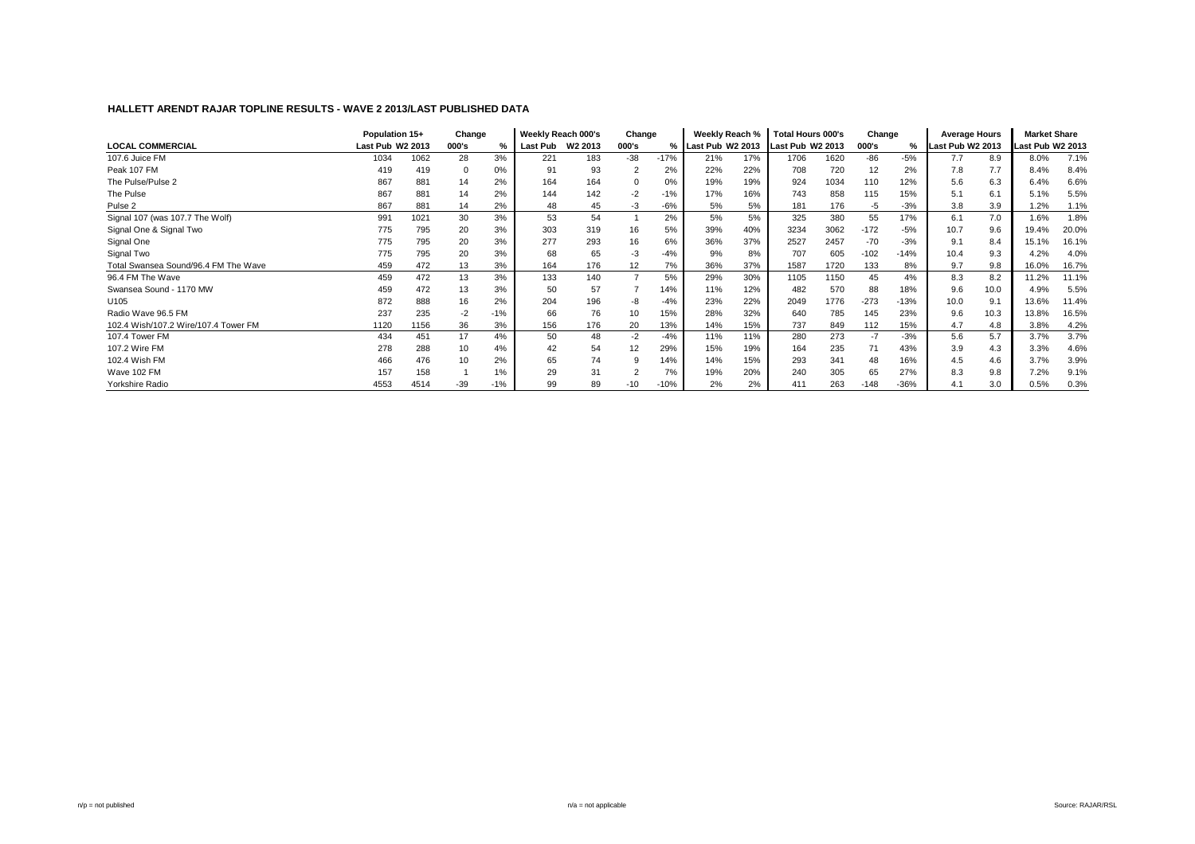|                                      | Population 15+   |      | Change   |       | Weekly Reach 000's |                     | Change                   |        | Weekly Reach %     |     | <b>Total Hours 000's</b> |      | Change |        | <b>Average Hours</b> |      | <b>Market Share</b> |       |
|--------------------------------------|------------------|------|----------|-------|--------------------|---------------------|--------------------------|--------|--------------------|-----|--------------------------|------|--------|--------|----------------------|------|---------------------|-------|
| <b>LOCAL COMMERCIAL</b>              | Last Pub W2 2013 |      | 000's    | %     | Last Pub           | W <sub>2</sub> 2013 | 000's                    |        | % Last Pub W2 2013 |     | Last Pub W2 2013         |      | 000's  | %      | Last Pub W2 2013     |      | Last Pub W2 2013    |       |
| 107.6 Juice FM                       | 1034             | 1062 | 28       | 3%    | 221                | 183                 | $-38$                    | $-17%$ | 21%                | 17% | 1706                     | 1620 | -86    | $-5%$  | 7.7                  | 8.9  | 8.0%                | 7.1%  |
| Peak 107 FM                          | 419              | 419  | $\Omega$ | 0%    | 91                 | 93                  | $\overline{2}$           | 2%     | 22%                | 22% | 708                      | 720  | 12     | 2%     | 7.8                  | 7.7  | 8.4%                | 8.4%  |
| The Pulse/Pulse 2                    | 867              | 881  | 14       | 2%    | 164                | 164                 |                          | 0%     | 19%                | 19% | 924                      | 1034 | 110    | 12%    | 5.6                  | 6.3  | 6.4%                | 6.6%  |
| The Pulse                            | 867              | 881  | 14       | 2%    | 144                | 142                 | $-2$                     | $-1%$  | 17%                | 16% | 743                      | 858  | 115    | 15%    | 5.1                  | 6.1  | 5.1%                | 5.5%  |
| Pulse <sub>2</sub>                   | 867              | 881  | 14       | 2%    | 48                 | 45                  | $-3$                     | $-6%$  | 5%                 | 5%  | 181                      | 176  | -5     | $-3%$  | 3.8                  | 3.9  | 1.2%                | 1.1%  |
| Signal 107 (was 107.7 The Wolf)      | 991              | 1021 | 30       | 3%    | 53                 | 54                  |                          | 2%     | 5%                 | 5%  | 325                      | 380  | 55     | 17%    | 6.1                  | 7.0  | 1.6%                | 1.8%  |
| Signal One & Signal Two              | 775              | 795  | 20       | 3%    | 303                | 319                 | 16                       | 5%     | 39%                | 40% | 3234                     | 3062 | $-172$ | $-5%$  | 10.7                 | 9.6  | 19.4%               | 20.0% |
| Signal One                           | 775              | 795  | 20       | 3%    | 277                | 293                 | 16                       | 6%     | 36%                | 37% | 2527                     | 2457 | $-70$  | $-3%$  | 9.1                  | 8.4  | 15.1%               | 16.1% |
| Signal Two                           | 775              | 795  | 20       | 3%    | 68                 | 65                  | $-3$                     | $-4%$  | 9%                 | 8%  | 707                      | 605  | $-102$ | $-14%$ | 10.4                 | 9.3  | 4.2%                | 4.0%  |
| Total Swansea Sound/96.4 FM The Wave | 459              | 472  | 13       | 3%    | 164                | 176                 | 12                       | 7%     | 36%                | 37% | 1587                     | 1720 | 133    | 8%     | 9.7                  | 9.8  | 16.0%               | 16.7% |
| 96.4 FM The Wave                     | 459              | 472  | 13       | 3%    | 133                | 140                 | $\overline{\phantom{a}}$ | 5%     | 29%                | 30% | 1105                     | 1150 | 45     | 4%     | 8.3                  | 8.2  | 11.2%               | 11.1% |
| Swansea Sound - 1170 MW              | 459              | 472  | 13       | 3%    | 50                 | 57                  |                          | 14%    | 11%                | 12% | 482                      | 570  | 88     | 18%    | 9.6                  | 10.0 | 4.9%                | 5.5%  |
| U105                                 | 872              | 888  | 16       | 2%    | 204                | 196                 | -8                       | $-4%$  | 23%                | 22% | 2049                     | 1776 | $-273$ | $-13%$ | 10.0                 | 9.1  | 13.6%               | 11.4% |
| Radio Wave 96.5 FM                   | 237              | 235  | $-2$     | $-1%$ | 66                 | 76                  | 10                       | 15%    | 28%                | 32% | 640                      | 785  | 145    | 23%    | 9.6                  | 10.3 | 13.8%               | 16.5% |
| 102.4 Wish/107.2 Wire/107.4 Tower FM | 1120             | 1156 | 36       | 3%    | 156                | 176                 | 20                       | 13%    | 14%                | 15% | 737                      | 849  | 112    | 15%    | 4.7                  | 4.8  | 3.8%                | 4.2%  |
| 107.4 Tower FM                       | 434              | 451  | 17       | 4%    | 50                 | 48                  | $-2$                     | $-4%$  | 11%                | 11% | 280                      | 273  | $-7$   | $-3%$  | 5.6                  | 5.7  | 3.7%                | 3.7%  |
| 107.2 Wire FM                        | 278              | 288  | 10       | 4%    | 42                 | 54                  | 12                       | 29%    | 15%                | 19% | 164                      | 235  | 71     | 43%    | 3.9                  | 4.3  | 3.3%                | 4.6%  |
| 102.4 Wish FM                        | 466              | 476  | 10       | 2%    | 65                 | 74                  | 9                        | 14%    | 14%                | 15% | 293                      | 341  | 48     | 16%    | 4.5                  | 4.6  | 3.7%                | 3.9%  |
| Wave 102 FM                          | 157              | 158  |          | 1%    | 29                 | 31                  |                          | 7%     | 19%                | 20% | 240                      | 305  | 65     | 27%    | 8.3                  | 9.8  | 7.2%                | 9.1%  |
| Yorkshire Radio                      | 4553             | 4514 | $-39$    | $-1%$ | 99                 | 89                  | $-10$                    | $-10%$ | 2%                 | 2%  | 411                      | 263  | $-148$ | $-36%$ | 4.1                  | 3.0  | 0.5%                | 0.3%  |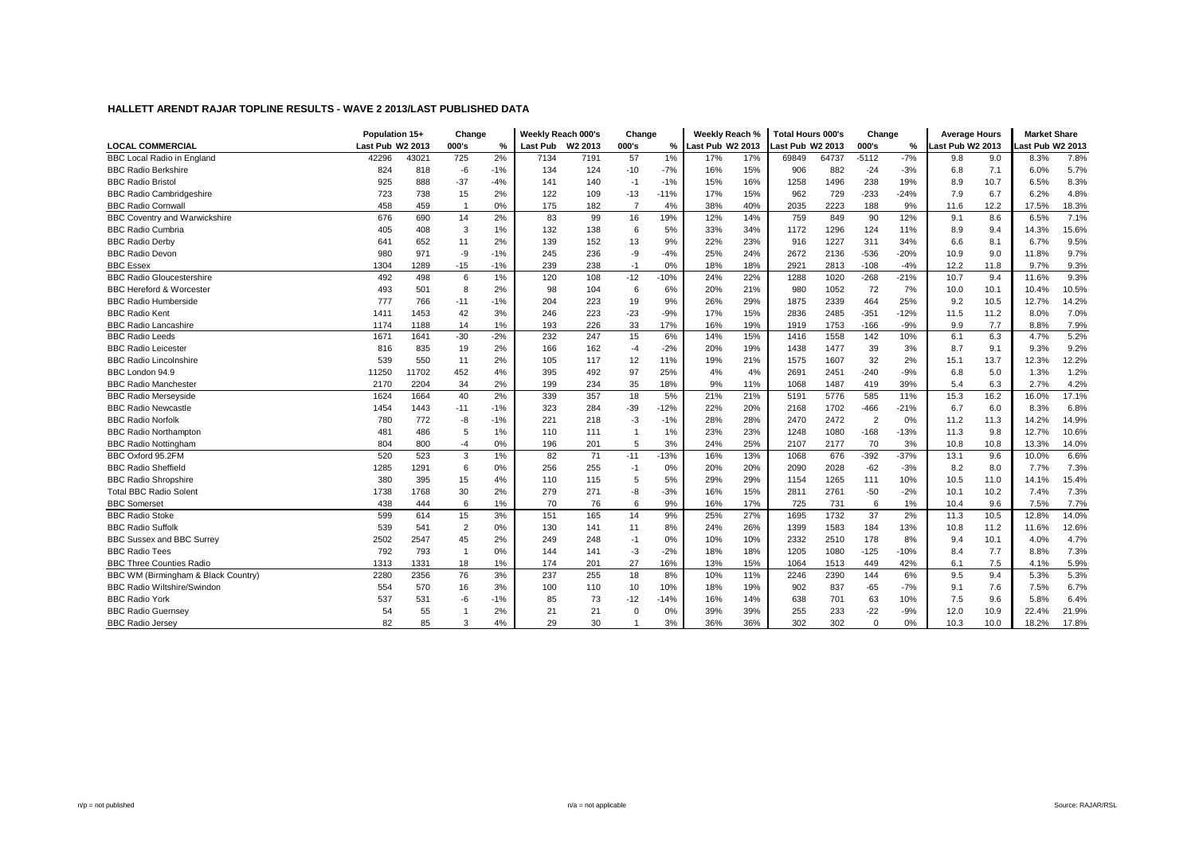|                                      | Population 15+   |       | Change         |               | Weekly Reach 000's |                     | Change         |        | Weekly Reach %   |     | <b>Total Hours 000's</b> |       | Change         |        | <b>Average Hours</b> |      | <b>Market Share</b> |       |
|--------------------------------------|------------------|-------|----------------|---------------|--------------------|---------------------|----------------|--------|------------------|-----|--------------------------|-------|----------------|--------|----------------------|------|---------------------|-------|
| <b>LOCAL COMMERCIAL</b>              | Last Pub W2 2013 |       | 000's          | $\frac{0}{2}$ | <b>Last Pub</b>    | W <sub>2</sub> 2013 | 000's          | %      | Last Pub W2 2013 |     | Last Pub W2 2013         |       | 000's          | %      | ast Pub W2 2013      |      | Last Pub W2 2013    |       |
| <b>BBC Local Radio in England</b>    | 42296            | 43021 | 725            | 2%            | 7134               | 7191                | 57             | $1\%$  | 17%              | 17% | 69849                    | 64737 | $-5112$        | $-7%$  | 9.8                  | 9.0  | 8.3%                | 7.8%  |
| <b>BBC Radio Berkshire</b>           | 824              | 818   | -6             | $-1%$         | 134                | 124                 | $-10$          | $-7%$  | 16%              | 15% | 906                      | 882   | $-24$          | $-3%$  | 6.8                  | 7.1  | 6.0%                | 5.7%  |
| <b>BBC Radio Bristol</b>             | 925              | 888   | $-37$          | $-4%$         | 141                | 140                 | $-1$           | $-1%$  | 15%              | 16% | 1258                     | 1496  | 238            | 19%    | 8.9                  | 10.7 | 6.5%                | 8.3%  |
| <b>BBC Radio Cambridgeshire</b>      | 723              | 738   | 15             | 2%            | 122                | 109                 | $-13$          | $-11%$ | 17%              | 15% | 962                      | 729   | $-233$         | $-24%$ | 7.9                  | 6.7  | 6.2%                | 4.8%  |
| <b>BBC Radio Cornwall</b>            | 458              | 459   |                | 0%            | 175                | 182                 | $\overline{7}$ | 4%     | 38%              | 40% | 2035                     | 2223  | 188            | 9%     | 11.6                 | 12.2 | 17.5%               | 18.3% |
| <b>BBC Coventry and Warwickshire</b> | 676              | 690   | 14             | 2%            | 83                 | 99                  | 16             | 19%    | 12%              | 14% | 759                      | 849   | 90             | 12%    | 9.1                  | 8.6  | 6.5%                | 7.1%  |
| <b>BBC Radio Cumbria</b>             | 405              | 408   | 3              | 1%            | 132                | 138                 | 6              | 5%     | 33%              | 34% | 1172                     | 1296  | 124            | 11%    | 8.9                  | 9.4  | 14.3%               | 15.6% |
| <b>BBC Radio Derby</b>               | 641              | 652   | 11             | 2%            | 139                | 152                 | 13             | 9%     | 22%              | 23% | 916                      | 1227  | 311            | 34%    | 6.6                  | 8.1  | 6.7%                | 9.5%  |
| <b>BBC Radio Devon</b>               | 980              | 971   | -9             | $-1%$         | 245                | 236                 | -9             | $-4%$  | 25%              | 24% | 2672                     | 2136  | $-536$         | $-20%$ | 10.9                 | 9.0  | 11.8%               | 9.7%  |
| <b>BBC Essex</b>                     | 1304             | 1289  | $-15$          | $-1%$         | 239                | 238                 | $-1$           | 0%     | 18%              | 18% | 2921                     | 2813  | $-108$         | $-4%$  | 12.2                 | 11.8 | 9.7%                | 9.3%  |
| <b>BBC Radio Gloucestershire</b>     | 492              | 498   | 6              | 1%            | 120                | 108                 | $-12$          | $-10%$ | 24%              | 22% | 1288                     | 1020  | $-268$         | $-21%$ | 10.7                 | 9.4  | 11.6%               | 9.3%  |
| <b>BBC Hereford &amp; Worcester</b>  | 493              | 501   | 8              | 2%            | 98                 | 104                 | 6              | 6%     | 20%              | 21% | 980                      | 1052  | 72             | 7%     | 10.0                 | 10.1 | 10.4%               | 10.5% |
| <b>BBC Radio Humberside</b>          | 777              | 766   | $-11$          | $-1%$         | 204                | 223                 | 19             | 9%     | 26%              | 29% | 1875                     | 2339  | 464            | 25%    | 9.2                  | 10.5 | 12.7%               | 14.2% |
| <b>BBC Radio Kent</b>                | 1411             | 1453  | 42             | 3%            | 246                | 223                 | $-23$          | $-9%$  | 17%              | 15% | 2836                     | 2485  | $-351$         | $-12%$ | 11.5                 | 11.2 | 8.0%                | 7.0%  |
| <b>BBC Radio Lancashire</b>          | 1174             | 1188  | 14             | 1%            | 193                | 226                 | 33             | 17%    | 16%              | 19% | 1919                     | 1753  | $-166$         | $-9%$  | 9.9                  | 7.7  | 8.8%                | 7.9%  |
| <b>BBC Radio Leeds</b>               | 1671             | 1641  | $-30$          | $-2%$         | 232                | 247                 | 15             | 6%     | 14%              | 15% | 1416                     | 1558  | 142            | 10%    | 6.1                  | 6.3  | 4.7%                | 5.2%  |
| <b>BBC Radio Leicester</b>           | 816              | 835   | 19             | 2%            | 166                | 162                 | $-4$           | $-2%$  | 20%              | 19% | 1438                     | 1477  | 39             | 3%     | 8.7                  | 9.1  | 9.3%                | 9.2%  |
| <b>BBC Radio Lincolnshire</b>        | 539              | 550   | 11             | 2%            | 105                | 117                 | 12             | 11%    | 19%              | 21% | 1575                     | 1607  | 32             | 2%     | 15.1                 | 13.7 | 12.3%               | 12.2% |
| BBC London 94.9                      | 11250            | 11702 | 452            | 4%            | 395                | 492                 | 97             | 25%    | 4%               | 4%  | 2691                     | 2451  | $-240$         | $-9%$  | 6.8                  | 5.0  | 1.3%                | 1.2%  |
| <b>BBC Radio Manchester</b>          | 2170             | 2204  | 34             | 2%            | 199                | 234                 | 35             | 18%    | 9%               | 11% | 1068                     | 1487  | 419            | 39%    | 5.4                  | 6.3  | 2.7%                | 4.2%  |
| <b>BBC Radio Merseyside</b>          | 1624             | 1664  | 40             | 2%            | 339                | 357                 | 18             | 5%     | 21%              | 21% | 5191                     | 5776  | 585            | 11%    | 15.3                 | 16.2 | 16.0%               | 17.1% |
| <b>BBC Radio Newcastle</b>           | 1454             | 1443  | $-11$          | $-1%$         | 323                | 284                 | $-39$          | $-12%$ | 22%              | 20% | 2168                     | 1702  | $-466$         | $-21%$ | 6.7                  | 6.0  | 8.3%                | 6.8%  |
| <b>BBC Radio Norfolk</b>             | 780              | 772   | -8             | $-1%$         | 221                | 218                 | $-3$           | $-1%$  | 28%              | 28% | 2470                     | 2472  | $\overline{2}$ | 0%     | 11.2                 | 11.3 | 14.2%               | 14.9% |
| <b>BBC Radio Northampton</b>         | 481              | 486   | 5              | 1%            | 110                | 111                 | 1              | 1%     | 23%              | 23% | 1248                     | 1080  | $-168$         | $-13%$ | 11.3                 | 9.8  | 12.7%               | 10.6% |
| <b>BBC Radio Nottingham</b>          | 804              | 800   | $-4$           | 0%            | 196                | 201                 | 5              | 3%     | 24%              | 25% | 2107                     | 2177  | 70             | 3%     | 10.8                 | 10.8 | 13.3%               | 14.0% |
| BBC Oxford 95.2FM                    | 520              | 523   | 3              | 1%            | 82                 | 71                  | $-11$          | $-13%$ | 16%              | 13% | 1068                     | 676   | $-392$         | $-37%$ | 13.1                 | 9.6  | 10.0%               | 6.6%  |
| <b>BBC Radio Sheffield</b>           | 1285             | 1291  | 6              | 0%            | 256                | 255                 | $-1$           | 0%     | 20%              | 20% | 2090                     | 2028  | $-62$          | $-3%$  | 8.2                  | 8.0  | 7.7%                | 7.3%  |
| <b>BBC Radio Shropshire</b>          | 380              | 395   | 15             | 4%            | 110                | 115                 | 5              | 5%     | 29%              | 29% | 1154                     | 1265  | 111            | 10%    | 10.5                 | 11.0 | 14.1%               | 15.4% |
| <b>Total BBC Radio Solent</b>        | 1738             | 1768  | 30             | 2%            | 279                | 271                 | -8             | $-3%$  | 16%              | 15% | 2811                     | 2761  | $-50$          | $-2%$  | 10.1                 | 10.2 | 7.4%                | 7.3%  |
| <b>BBC</b> Somerset                  | 438              | 444   | 6              | 1%            | 70                 | 76                  | 6              | 9%     | 16%              | 17% | 725                      | 731   | 6              | 1%     | 10.4                 | 9.6  | 7.5%                | 7.7%  |
| <b>BBC Radio Stoke</b>               | 599              | 614   | 15             | 3%            | 151                | 165                 | 14             | 9%     | 25%              | 27% | 1695                     | 1732  | 37             | 2%     | 11.3                 | 10.5 | 12.8%               | 14.0% |
| <b>BBC Radio Suffolk</b>             | 539              | 541   | $\overline{2}$ | 0%            | 130                | 141                 | 11             | 8%     | 24%              | 26% | 1399                     | 1583  | 184            | 13%    | 10.8                 | 11.2 | 11.6%               | 12.6% |
| <b>BBC Sussex and BBC Surrey</b>     | 2502             | 2547  | 45             | 2%            | 249                | 248                 | $-1$           | 0%     | 10%              | 10% | 2332                     | 2510  | 178            | 8%     | 9.4                  | 10.1 | 4.0%                | 4.7%  |
| <b>BBC Radio Tees</b>                | 792              | 793   | $\overline{1}$ | 0%            | 144                | 141                 | $-3$           | $-2%$  | 18%              | 18% | 1205                     | 1080  | $-125$         | $-10%$ | 8.4                  | 7.7  | 8.8%                | 7.3%  |
| <b>BBC Three Counties Radio</b>      | 1313             | 1331  | 18             | 1%            | 174                | 201                 | 27             | 16%    | 13%              | 15% | 1064                     | 1513  | 449            | 42%    | 6.1                  | 7.5  | 4.1%                | 5.9%  |
| BBC WM (Birmingham & Black Country)  | 2280             | 2356  | 76             | 3%            | 237                | 255                 | 18             | 8%     | 10%              | 11% | 2246                     | 2390  | 144            | 6%     | 9.5                  | 9.4  | 5.3%                | 5.3%  |
| BBC Radio Wiltshire/Swindon          | 554              | 570   | 16             | 3%            | 100                | 110                 | 10             | 10%    | 18%              | 19% | 902                      | 837   | $-65$          | $-7%$  | 9.1                  | 7.6  | 7.5%                | 6.7%  |
| <b>BBC Radio York</b>                | 537              | 531   | $-6$           | $-1%$         | 85                 | 73                  | $-12$          | $-14%$ | 16%              | 14% | 638                      | 701   | 63             | 10%    | 7.5                  | 9.6  | 5.8%                | 6.4%  |
| <b>BBC Radio Guernsey</b>            | 54               | 55    |                | 2%            | 21                 | 21                  | $\Omega$       | 0%     | 39%              | 39% | 255                      | 233   | $-22$          | $-9%$  | 12.0                 | 10.9 | 22.4%               | 21.9% |
| <b>BBC Radio Jersey</b>              | 82               | 85    | 3              | 4%            | 29                 | 30                  | $\mathbf{1}$   | 3%     | 36%              | 36% | 302                      | 302   | $\mathbf 0$    | 0%     | 10.3                 | 10.0 | 18.2%               | 17.8% |